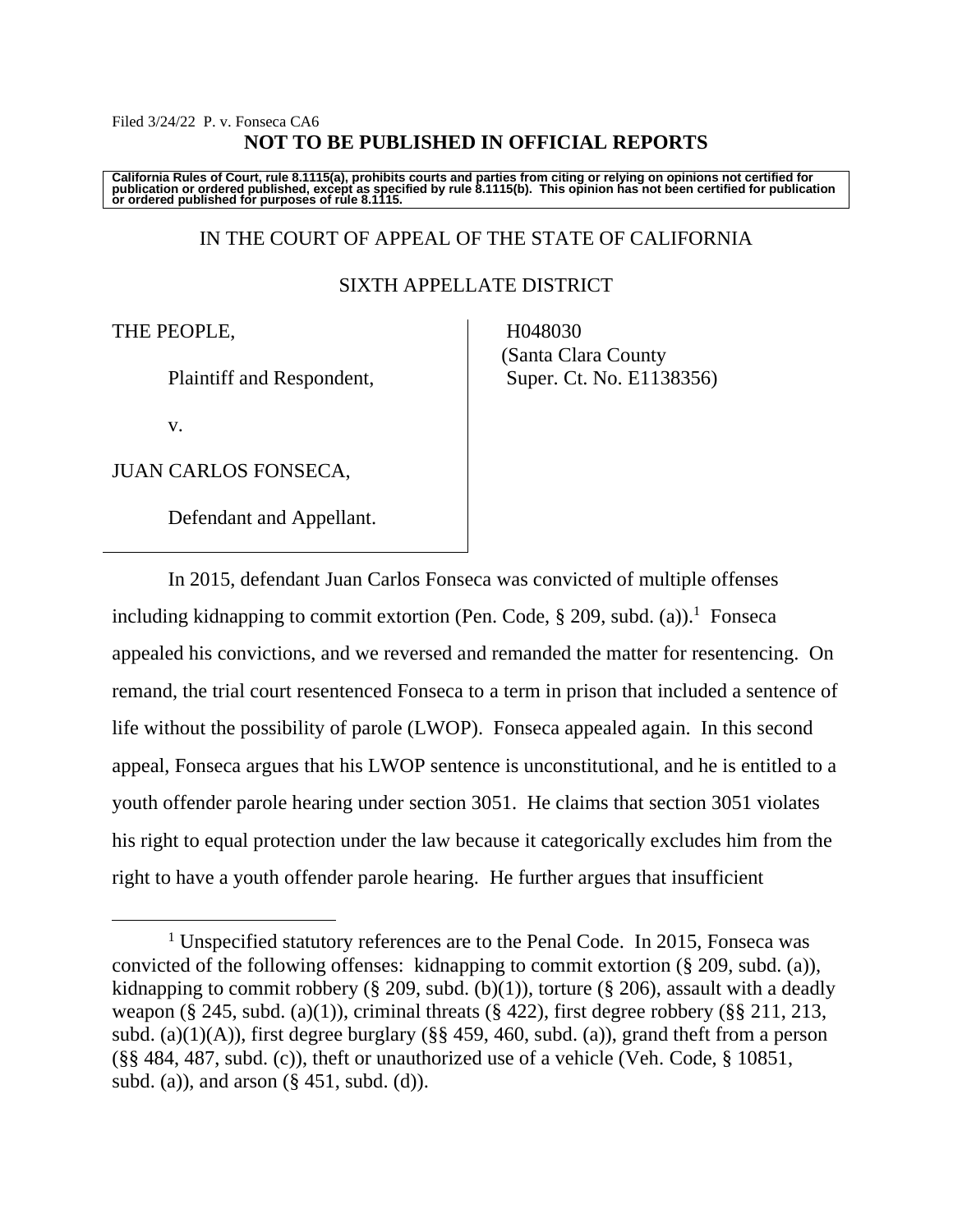## Filed 3/24/22 P. v. Fonseca CA6 **NOT TO BE PUBLISHED IN OFFICIAL REPORTS**

California Rules of Court, rule 8.1115(a), prohibits courts and parties from citing or relying on opinions not certified for<br>publication or ordered published, except as specified by rule 8.1115(b). This opinion has not be

# IN THE COURT OF APPEAL OF THE STATE OF CALIFORNIA

## SIXTH APPELLATE DISTRICT

## THE PEOPLE,

Plaintiff and Respondent,

v.

JUAN CARLOS FONSECA,

Defendant and Appellant.

 H048030 (Santa Clara County Super. Ct. No. E1138356)

In 2015, defendant Juan Carlos Fonseca was convicted of multiple offenses including kidnapping to commit extortion (Pen. Code, § 209, subd. (a)). <sup>1</sup> Fonseca appealed his convictions, and we reversed and remanded the matter for resentencing. On remand, the trial court resentenced Fonseca to a term in prison that included a sentence of life without the possibility of parole (LWOP). Fonseca appealed again. In this second appeal, Fonseca argues that his LWOP sentence is unconstitutional, and he is entitled to a youth offender parole hearing under section 3051. He claims that section 3051 violates his right to equal protection under the law because it categorically excludes him from the right to have a youth offender parole hearing. He further argues that insufficient

<sup>&</sup>lt;sup>1</sup> Unspecified statutory references are to the Penal Code. In 2015, Fonseca was convicted of the following offenses: kidnapping to commit extortion (§ 209, subd. (a)), kidnapping to commit robbery (§ 209, subd. (b)(1)), torture (§ 206), assault with a deadly weapon (§ 245, subd. (a)(1)), criminal threats (§ 422), first degree robbery (§§ 211, 213, subd. (a)(1)(A)), first degree burglary ( $\S$ § 459, 460, subd. (a)), grand theft from a person (§§ 484, 487, subd. (c)), theft or unauthorized use of a vehicle (Veh. Code, § 10851, subd. (a)), and arson  $(\S$  451, subd. (d)).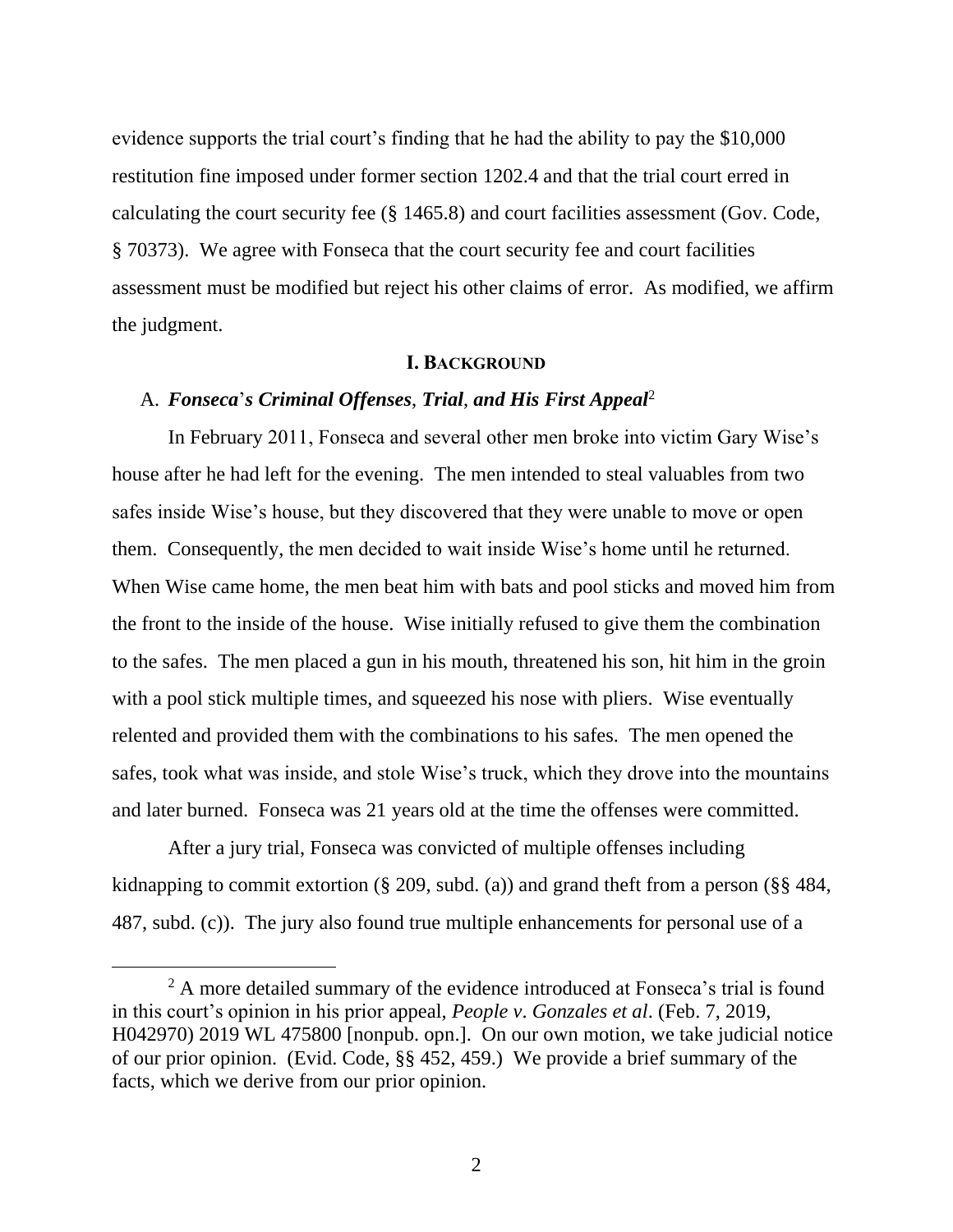evidence supports the trial court's finding that he had the ability to pay the \$10,000 restitution fine imposed under former section 1202.4 and that the trial court erred in calculating the court security fee (§ 1465.8) and court facilities assessment (Gov. Code, § 70373). We agree with Fonseca that the court security fee and court facilities assessment must be modified but reject his other claims of error. As modified, we affirm the judgment.

## **I. BACKGROUND**

#### A. *Fonseca*'*s Criminal Offenses*, *Trial*, *and His First Appeal*<sup>2</sup>

In February 2011, Fonseca and several other men broke into victim Gary Wise's house after he had left for the evening. The men intended to steal valuables from two safes inside Wise's house, but they discovered that they were unable to move or open them. Consequently, the men decided to wait inside Wise's home until he returned. When Wise came home, the men beat him with bats and pool sticks and moved him from the front to the inside of the house. Wise initially refused to give them the combination to the safes. The men placed a gun in his mouth, threatened his son, hit him in the groin with a pool stick multiple times, and squeezed his nose with pliers. Wise eventually relented and provided them with the combinations to his safes. The men opened the safes, took what was inside, and stole Wise's truck, which they drove into the mountains and later burned. Fonseca was 21 years old at the time the offenses were committed.

After a jury trial, Fonseca was convicted of multiple offenses including kidnapping to commit extortion (§ 209, subd. (a)) and grand theft from a person (§§ 484, 487, subd. (c)). The jury also found true multiple enhancements for personal use of a

<sup>&</sup>lt;sup>2</sup> A more detailed summary of the evidence introduced at Fonseca's trial is found in this court's opinion in his prior appeal, *People v*. *Gonzales et al*. (Feb. 7, 2019, H042970) 2019 WL 475800 [nonpub. opn.]. On our own motion, we take judicial notice of our prior opinion. (Evid. Code, §§ 452, 459.) We provide a brief summary of the facts, which we derive from our prior opinion.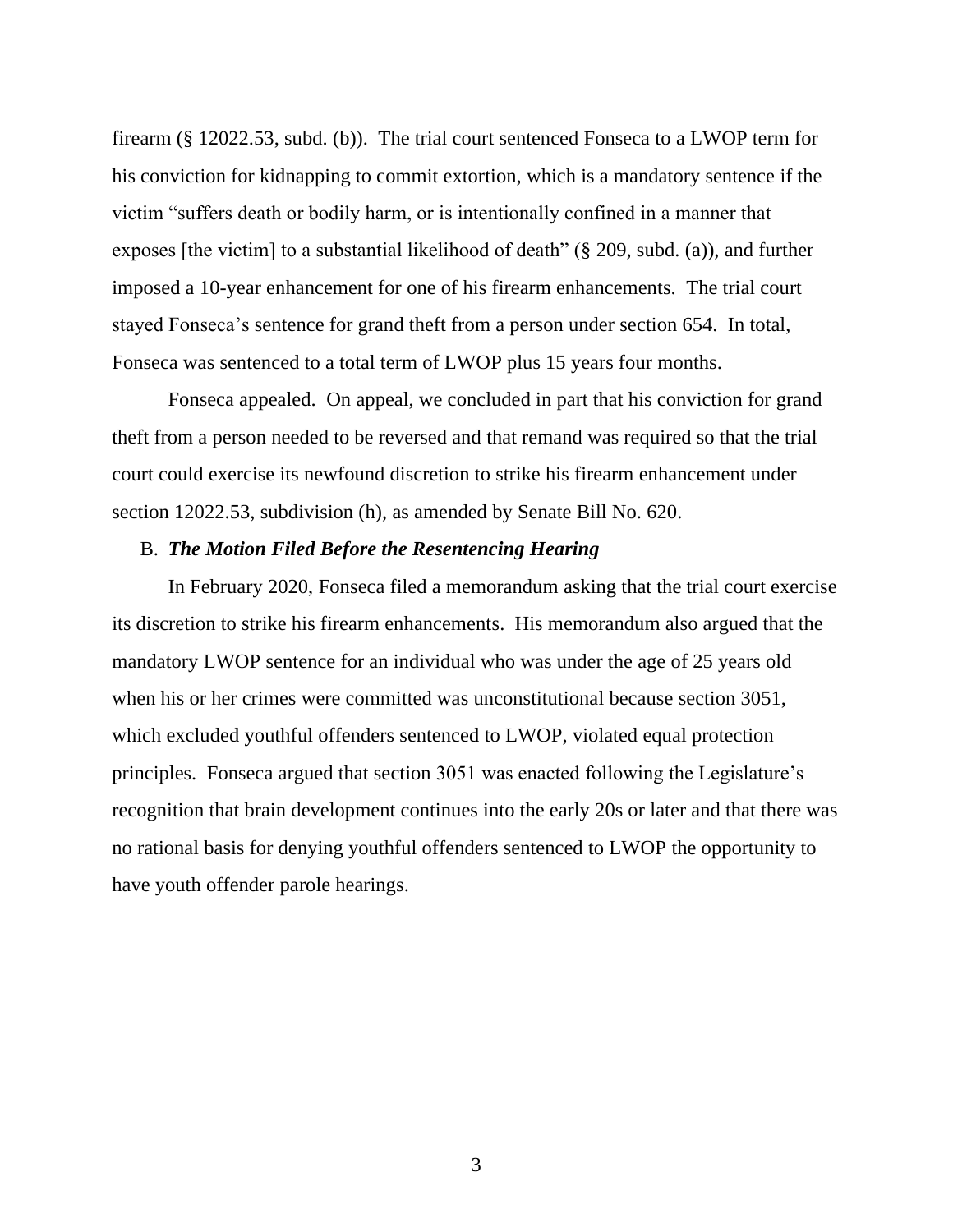firearm (§ 12022.53, subd. (b)). The trial court sentenced Fonseca to a LWOP term for his conviction for kidnapping to commit extortion, which is a mandatory sentence if the victim "suffers death or bodily harm, or is intentionally confined in a manner that exposes [the victim] to a substantial likelihood of death" (§ 209, subd. (a)), and further imposed a 10-year enhancement for one of his firearm enhancements. The trial court stayed Fonseca's sentence for grand theft from a person under section 654. In total, Fonseca was sentenced to a total term of LWOP plus 15 years four months.

Fonseca appealed. On appeal, we concluded in part that his conviction for grand theft from a person needed to be reversed and that remand was required so that the trial court could exercise its newfound discretion to strike his firearm enhancement under section 12022.53, subdivision (h), as amended by Senate Bill No. 620.

## B. *The Motion Filed Before the Resentencing Hearing*

In February 2020, Fonseca filed a memorandum asking that the trial court exercise its discretion to strike his firearm enhancements. His memorandum also argued that the mandatory LWOP sentence for an individual who was under the age of 25 years old when his or her crimes were committed was unconstitutional because section 3051, which excluded youthful offenders sentenced to LWOP, violated equal protection principles. Fonseca argued that section 3051 was enacted following the Legislature's recognition that brain development continues into the early 20s or later and that there was no rational basis for denying youthful offenders sentenced to LWOP the opportunity to have youth offender parole hearings.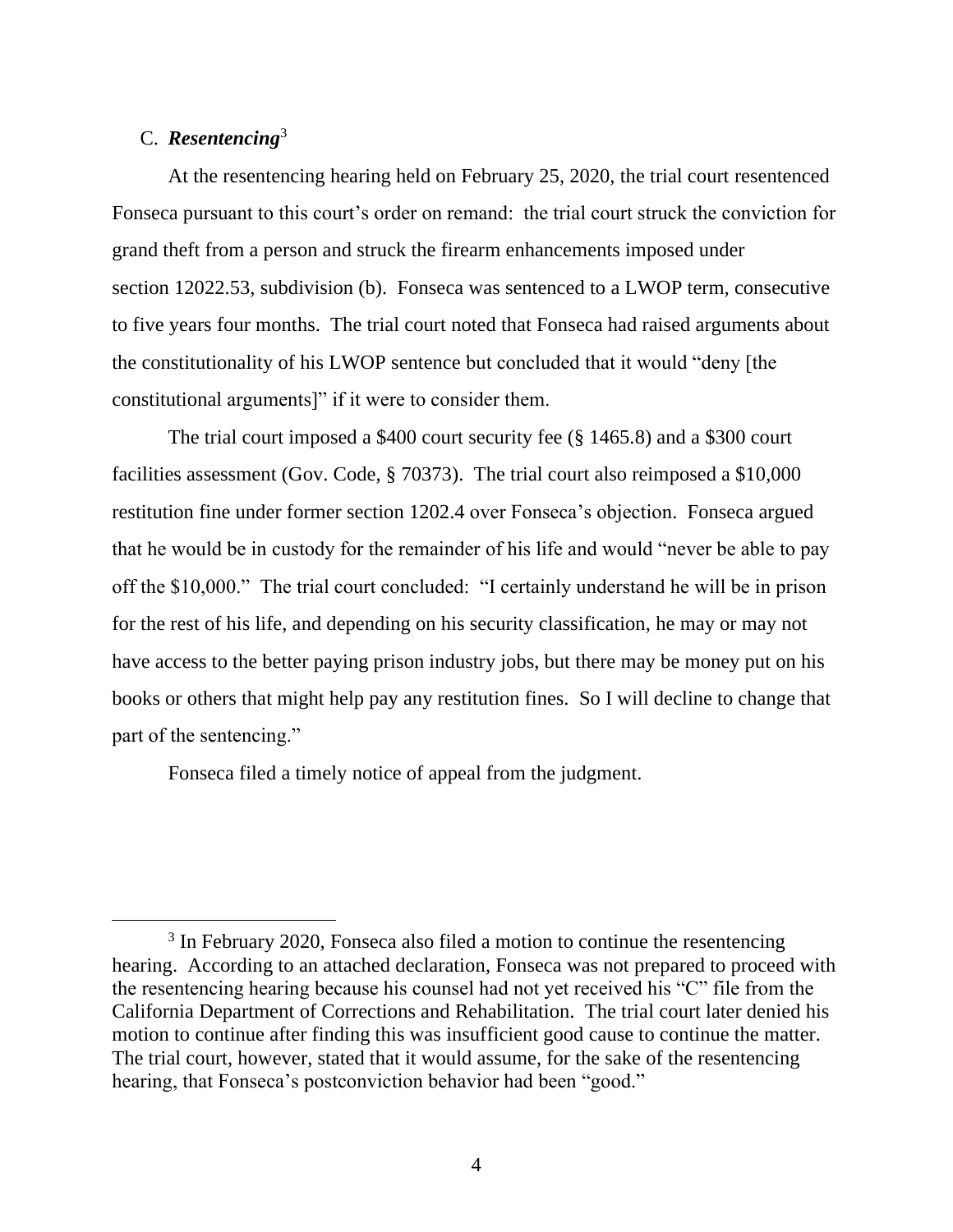## C. *Resentencing*<sup>3</sup>

At the resentencing hearing held on February 25, 2020, the trial court resentenced Fonseca pursuant to this court's order on remand: the trial court struck the conviction for grand theft from a person and struck the firearm enhancements imposed under section 12022.53, subdivision (b). Fonseca was sentenced to a LWOP term, consecutive to five years four months. The trial court noted that Fonseca had raised arguments about the constitutionality of his LWOP sentence but concluded that it would "deny [the constitutional arguments]" if it were to consider them.

The trial court imposed a \$400 court security fee (§ 1465.8) and a \$300 court facilities assessment (Gov. Code, § 70373). The trial court also reimposed a \$10,000 restitution fine under former section 1202.4 over Fonseca's objection. Fonseca argued that he would be in custody for the remainder of his life and would "never be able to pay off the \$10,000." The trial court concluded: "I certainly understand he will be in prison for the rest of his life, and depending on his security classification, he may or may not have access to the better paying prison industry jobs, but there may be money put on his books or others that might help pay any restitution fines. So I will decline to change that part of the sentencing."

Fonseca filed a timely notice of appeal from the judgment.

<sup>&</sup>lt;sup>3</sup> In February 2020, Fonseca also filed a motion to continue the resentencing hearing. According to an attached declaration, Fonseca was not prepared to proceed with the resentencing hearing because his counsel had not yet received his "C" file from the California Department of Corrections and Rehabilitation. The trial court later denied his motion to continue after finding this was insufficient good cause to continue the matter. The trial court, however, stated that it would assume, for the sake of the resentencing hearing, that Fonseca's postconviction behavior had been "good."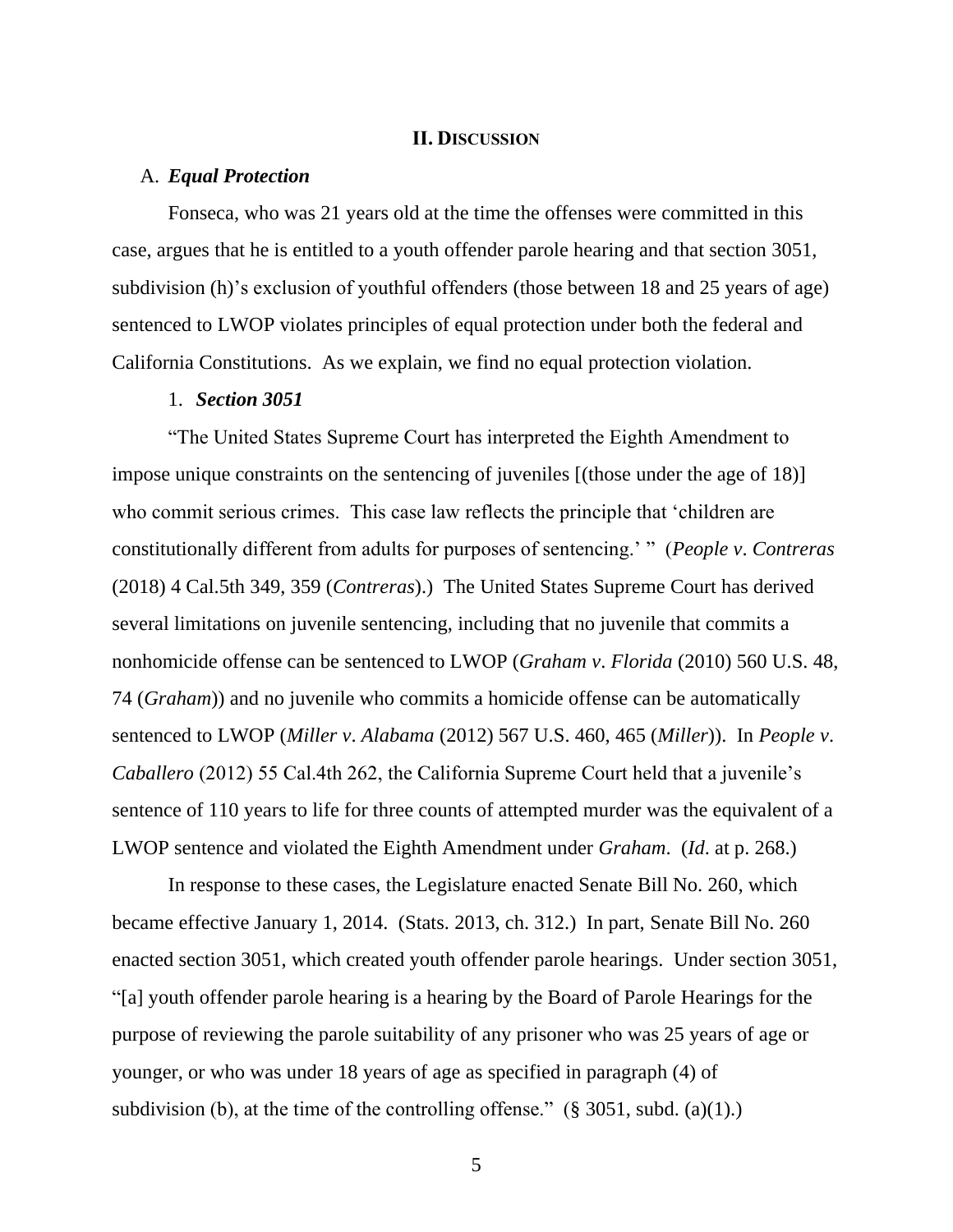### **II. DISCUSSION**

### A. *Equal Protection*

Fonseca, who was 21 years old at the time the offenses were committed in this case, argues that he is entitled to a youth offender parole hearing and that section 3051, subdivision (h)'s exclusion of youthful offenders (those between 18 and 25 years of age) sentenced to LWOP violates principles of equal protection under both the federal and California Constitutions. As we explain, we find no equal protection violation.

## 1. *Section 3051*

"The United States Supreme Court has interpreted the Eighth Amendment to impose unique constraints on the sentencing of juveniles [(those under the age of 18)] who commit serious crimes. This case law reflects the principle that 'children are constitutionally different from adults for purposes of sentencing.' " (*People v*. *Contreras* (2018) 4 Cal.5th 349, 359 (*Contreras*).) The United States Supreme Court has derived several limitations on juvenile sentencing, including that no juvenile that commits a nonhomicide offense can be sentenced to LWOP (*Graham v*. *Florida* (2010) 560 U.S. 48, 74 (*Graham*)) and no juvenile who commits a homicide offense can be automatically sentenced to LWOP (*Miller v*. *Alabama* (2012) 567 U.S. 460, 465 (*Miller*)). In *People v*. *Caballero* (2012) 55 Cal.4th 262, the California Supreme Court held that a juvenile's sentence of 110 years to life for three counts of attempted murder was the equivalent of a LWOP sentence and violated the Eighth Amendment under *Graham*. (*Id*. at p. 268.)

In response to these cases, the Legislature enacted Senate Bill No. 260, which became effective January 1, 2014. (Stats. 2013, ch. 312.) In part, Senate Bill No. 260 enacted section 3051, which created youth offender parole hearings. Under section 3051, "[a] youth offender parole hearing is a hearing by the Board of Parole Hearings for the purpose of reviewing the parole suitability of any prisoner who was 25 years of age or younger, or who was under 18 years of age as specified in paragraph (4) of subdivision (b), at the time of the controlling offense."  $(\S$  3051, subd. (a)(1).)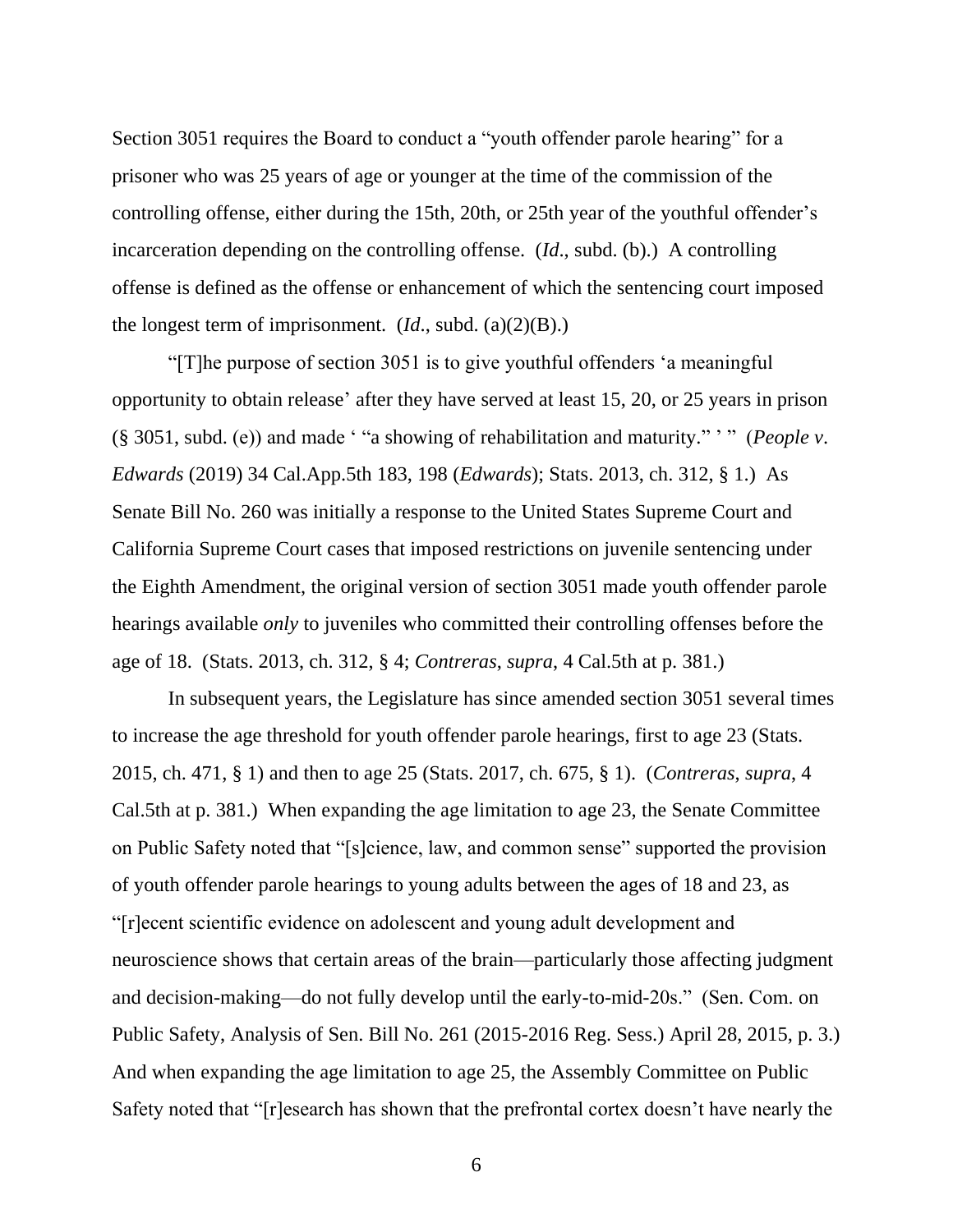Section 3051 requires the Board to conduct a "youth offender parole hearing" for a prisoner who was 25 years of age or younger at the time of the commission of the controlling offense, either during the 15th, 20th, or 25th year of the youthful offender's incarceration depending on the controlling offense. (*Id*., subd. (b).) A controlling offense is defined as the offense or enhancement of which the sentencing court imposed the longest term of imprisonment. (*Id*., subd. (a)(2)(B).)

"[T]he purpose of section 3051 is to give youthful offenders 'a meaningful opportunity to obtain release' after they have served at least 15, 20, or 25 years in prison (§ 3051, subd. (e)) and made ' "a showing of rehabilitation and maturity." ' " (*People v*. *Edwards* (2019) 34 Cal.App.5th 183, 198 (*Edwards*); Stats. 2013, ch. 312, § 1.) As Senate Bill No. 260 was initially a response to the United States Supreme Court and California Supreme Court cases that imposed restrictions on juvenile sentencing under the Eighth Amendment, the original version of section 3051 made youth offender parole hearings available *only* to juveniles who committed their controlling offenses before the age of 18. (Stats. 2013, ch. 312, § 4; *Contreras*, *supra*, 4 Cal.5th at p. 381.)

In subsequent years, the Legislature has since amended section 3051 several times to increase the age threshold for youth offender parole hearings, first to age 23 (Stats. 2015, ch. 471, § 1) and then to age 25 (Stats. 2017, ch. 675, § 1). (*Contreras*, *supra*, 4 Cal.5th at p. 381.) When expanding the age limitation to age 23, the Senate Committee on Public Safety noted that "[s]cience, law, and common sense" supported the provision of youth offender parole hearings to young adults between the ages of 18 and 23, as "[r]ecent scientific evidence on adolescent and young adult development and neuroscience shows that certain areas of the brain—particularly those affecting judgment and decision-making—do not fully develop until the early-to-mid-20s." (Sen. Com. on Public Safety, Analysis of Sen. Bill No. 261 (2015-2016 Reg. Sess.) April 28, 2015, p. 3.) And when expanding the age limitation to age 25, the Assembly Committee on Public Safety noted that "[r]esearch has shown that the prefrontal cortex doesn't have nearly the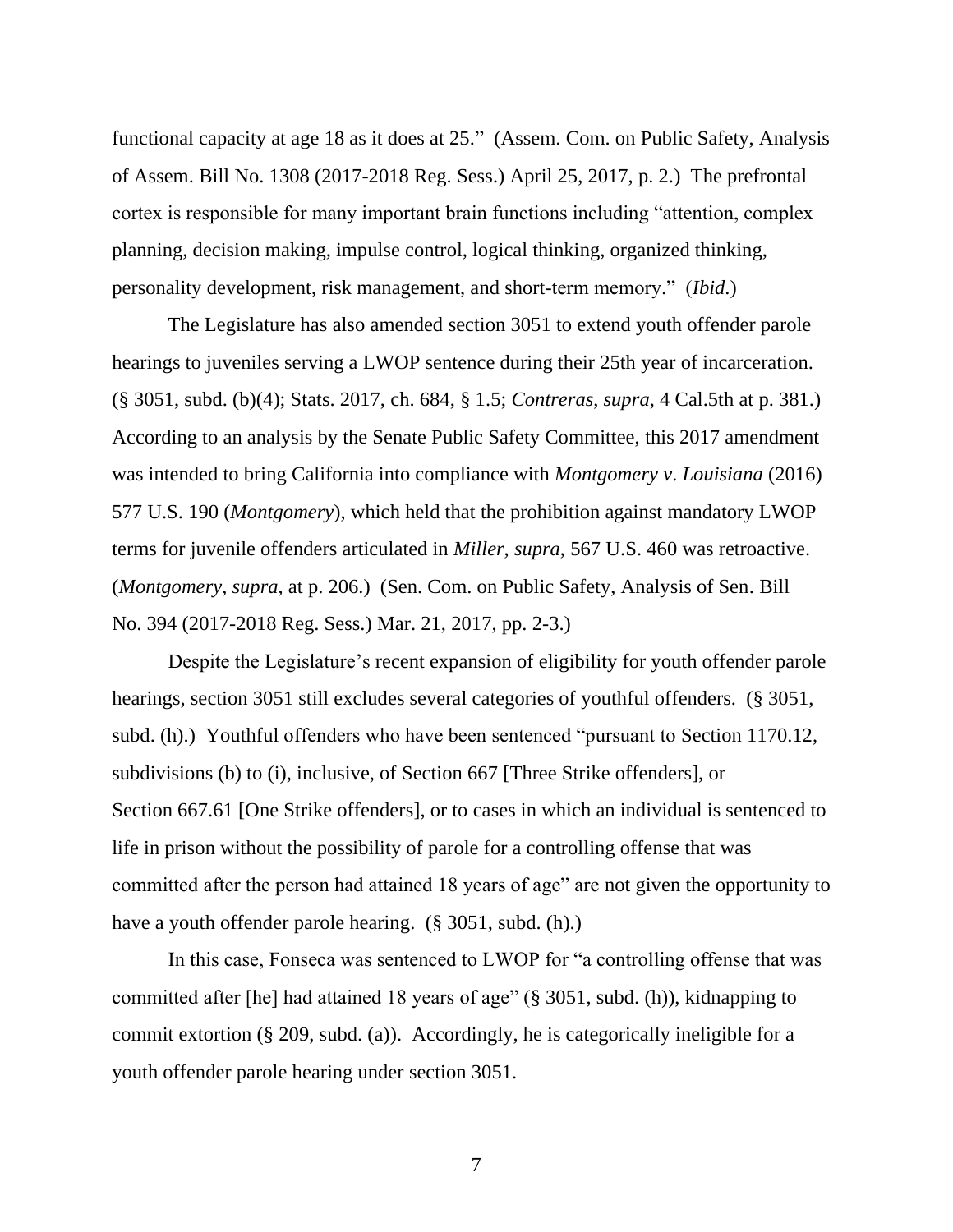functional capacity at age 18 as it does at 25." (Assem. Com. on Public Safety, Analysis of Assem. Bill No. 1308 (2017-2018 Reg. Sess.) April 25, 2017, p. 2.) The prefrontal cortex is responsible for many important brain functions including "attention, complex planning, decision making, impulse control, logical thinking, organized thinking, personality development, risk management, and short-term memory." (*Ibid*.)

The Legislature has also amended section 3051 to extend youth offender parole hearings to juveniles serving a LWOP sentence during their 25th year of incarceration. (§ 3051, subd. (b)(4); Stats. 2017, ch. 684, § 1.5; *Contreras*, *supra*, 4 Cal.5th at p. 381.) According to an analysis by the Senate Public Safety Committee, this 2017 amendment was intended to bring California into compliance with *Montgomery v*. *Louisiana* (2016) 577 U.S. 190 (*Montgomery*), which held that the prohibition against mandatory LWOP terms for juvenile offenders articulated in *Miller*, *supra*, 567 U.S. 460 was retroactive. (*Montgomery*, *supra*, at p. 206.) (Sen. Com. on Public Safety, Analysis of Sen. Bill No. 394 (2017-2018 Reg. Sess.) Mar. 21, 2017, pp. 2-3.)

Despite the Legislature's recent expansion of eligibility for youth offender parole hearings, section 3051 still excludes several categories of youthful offenders. (§ 3051, subd. (h).) Youthful offenders who have been sentenced "pursuant to Section 1170.12, subdivisions (b) to (i), inclusive, of Section 667 [Three Strike offenders], or Section 667.61 [One Strike offenders], or to cases in which an individual is sentenced to life in prison without the possibility of parole for a controlling offense that was committed after the person had attained 18 years of age" are not given the opportunity to have a youth offender parole hearing. (§ 3051, subd. (h).)

In this case, Fonseca was sentenced to LWOP for "a controlling offense that was committed after [he] had attained 18 years of age" (§ 3051, subd. (h)), kidnapping to commit extortion (§ 209, subd. (a)). Accordingly, he is categorically ineligible for a youth offender parole hearing under section 3051.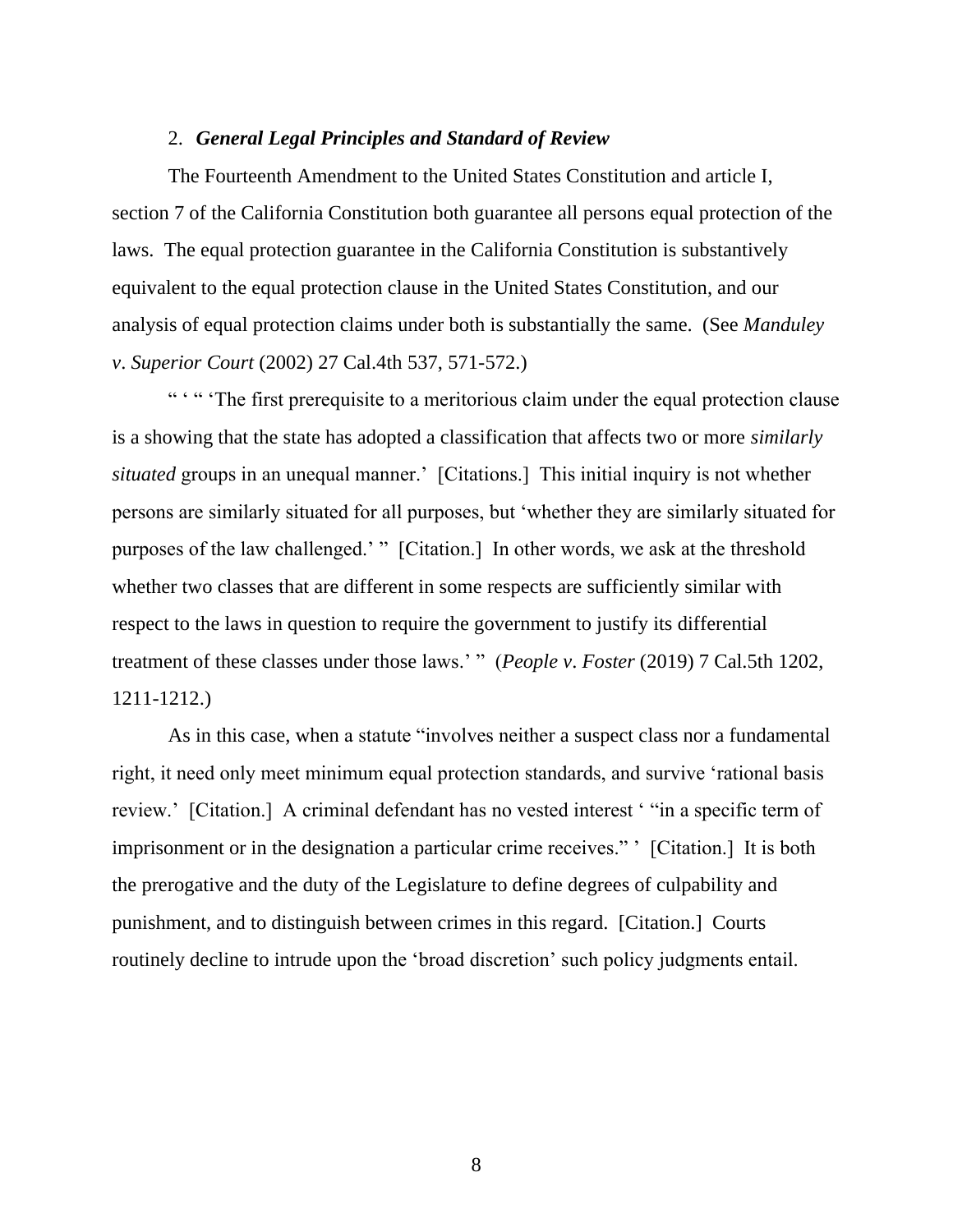### 2. *General Legal Principles and Standard of Review*

The Fourteenth Amendment to the United States Constitution and article I, section 7 of the California Constitution both guarantee all persons equal protection of the laws. The equal protection guarantee in the California Constitution is substantively equivalent to the equal protection clause in the United States Constitution, and our analysis of equal protection claims under both is substantially the same. (See *Manduley v*. *Superior Court* (2002) 27 Cal.4th 537, 571-572.)

" " " The first prerequisite to a meritorious claim under the equal protection clause is a showing that the state has adopted a classification that affects two or more *similarly situated* groups in an unequal manner.' [Citations.] This initial inquiry is not whether persons are similarly situated for all purposes, but 'whether they are similarly situated for purposes of the law challenged.' " [Citation.] In other words, we ask at the threshold whether two classes that are different in some respects are sufficiently similar with respect to the laws in question to require the government to justify its differential treatment of these classes under those laws.' " (*People v*. *Foster* (2019) 7 Cal.5th 1202, 1211-1212.)

As in this case, when a statute "involves neither a suspect class nor a fundamental right, it need only meet minimum equal protection standards, and survive 'rational basis review.' [Citation.] A criminal defendant has no vested interest ' "in a specific term of imprisonment or in the designation a particular crime receives." ' [Citation.] It is both the prerogative and the duty of the Legislature to define degrees of culpability and punishment, and to distinguish between crimes in this regard. [Citation.] Courts routinely decline to intrude upon the 'broad discretion' such policy judgments entail.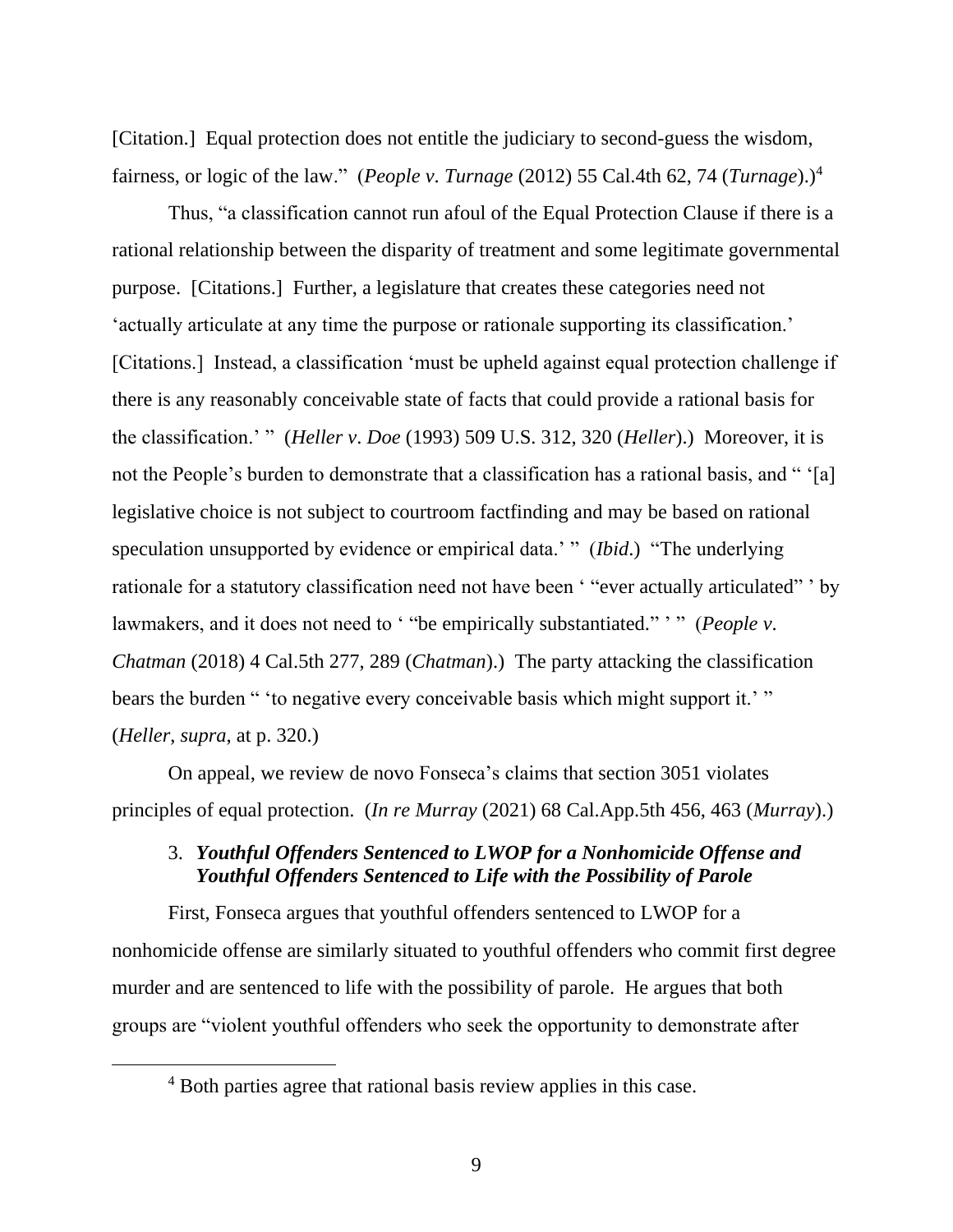[Citation.] Equal protection does not entitle the judiciary to second-guess the wisdom, fairness, or logic of the law." (*People v*. *Turnage* (2012) 55 Cal.4th 62, 74 (*Turnage*).)<sup>4</sup>

Thus, "a classification cannot run afoul of the Equal Protection Clause if there is a rational relationship between the disparity of treatment and some legitimate governmental purpose. [Citations.] Further, a legislature that creates these categories need not 'actually articulate at any time the purpose or rationale supporting its classification.' [Citations.] Instead, a classification 'must be upheld against equal protection challenge if there is any reasonably conceivable state of facts that could provide a rational basis for the classification.' " (*Heller v*. *Doe* (1993) 509 U.S. 312, 320 (*Heller*).) Moreover, it is not the People's burden to demonstrate that a classification has a rational basis, and "'all legislative choice is not subject to courtroom factfinding and may be based on rational speculation unsupported by evidence or empirical data.' " (*Ibid*.) "The underlying rationale for a statutory classification need not have been ' "ever actually articulated" ' by lawmakers, and it does not need to ' "be empirically substantiated." ' " (*People v*. *Chatman* (2018) 4 Cal.5th 277, 289 (*Chatman*).) The party attacking the classification bears the burden " 'to negative every conceivable basis which might support it.' " (*Heller*, *supra*, at p. 320.)

On appeal, we review de novo Fonseca's claims that section 3051 violates principles of equal protection. (*In re Murray* (2021) 68 Cal.App.5th 456, 463 (*Murray*).)

# 3. *Youthful Offenders Sentenced to LWOP for a Nonhomicide Offense and Youthful Offenders Sentenced to Life with the Possibility of Parole*

First, Fonseca argues that youthful offenders sentenced to LWOP for a nonhomicide offense are similarly situated to youthful offenders who commit first degree murder and are sentenced to life with the possibility of parole. He argues that both groups are "violent youthful offenders who seek the opportunity to demonstrate after

<sup>4</sup> Both parties agree that rational basis review applies in this case.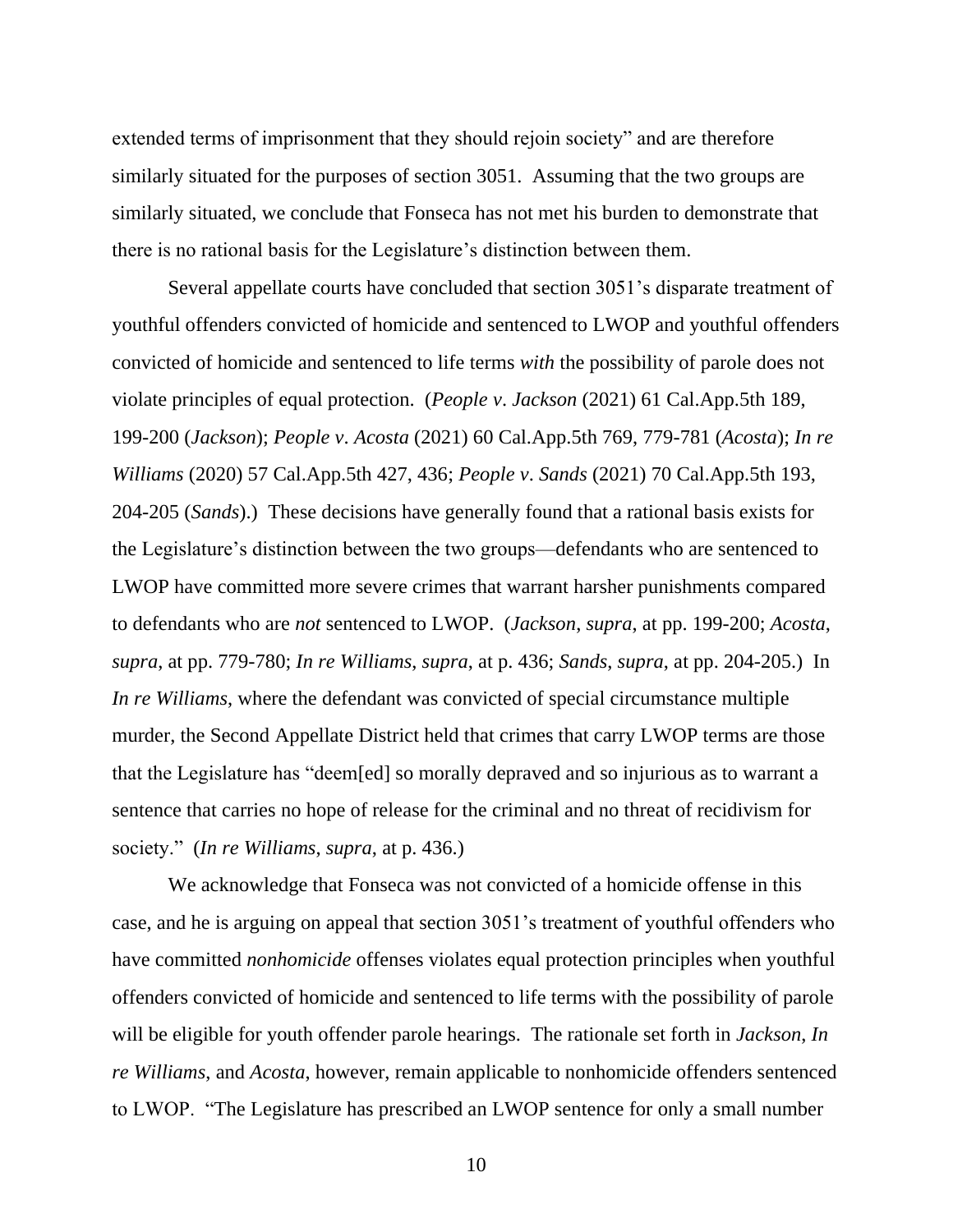extended terms of imprisonment that they should rejoin society" and are therefore similarly situated for the purposes of section 3051. Assuming that the two groups are similarly situated, we conclude that Fonseca has not met his burden to demonstrate that there is no rational basis for the Legislature's distinction between them.

Several appellate courts have concluded that section 3051's disparate treatment of youthful offenders convicted of homicide and sentenced to LWOP and youthful offenders convicted of homicide and sentenced to life terms *with* the possibility of parole does not violate principles of equal protection. (*People v*. *Jackson* (2021) 61 Cal.App.5th 189, 199-200 (*Jackson*); *People v*. *Acosta* (2021) 60 Cal.App.5th 769, 779-781 (*Acosta*); *In re Williams* (2020) 57 Cal.App.5th 427, 436; *People v*. *Sands* (2021) 70 Cal.App.5th 193, 204-205 (*Sands*).) These decisions have generally found that a rational basis exists for the Legislature's distinction between the two groups—defendants who are sentenced to LWOP have committed more severe crimes that warrant harsher punishments compared to defendants who are *not* sentenced to LWOP. (*Jackson*, *supra*, at pp. 199-200; *Acosta*, *supra*, at pp. 779-780; *In re Williams*, *supra*, at p. 436; *Sands*, *supra*, at pp. 204-205.) In *In re Williams*, where the defendant was convicted of special circumstance multiple murder, the Second Appellate District held that crimes that carry LWOP terms are those that the Legislature has "deem[ed] so morally depraved and so injurious as to warrant a sentence that carries no hope of release for the criminal and no threat of recidivism for society." (*In re Williams*, *supra*, at p. 436.)

We acknowledge that Fonseca was not convicted of a homicide offense in this case, and he is arguing on appeal that section 3051's treatment of youthful offenders who have committed *nonhomicide* offenses violates equal protection principles when youthful offenders convicted of homicide and sentenced to life terms with the possibility of parole will be eligible for youth offender parole hearings. The rationale set forth in *Jackson*, *In re Williams*, and *Acosta*, however, remain applicable to nonhomicide offenders sentenced to LWOP. "The Legislature has prescribed an LWOP sentence for only a small number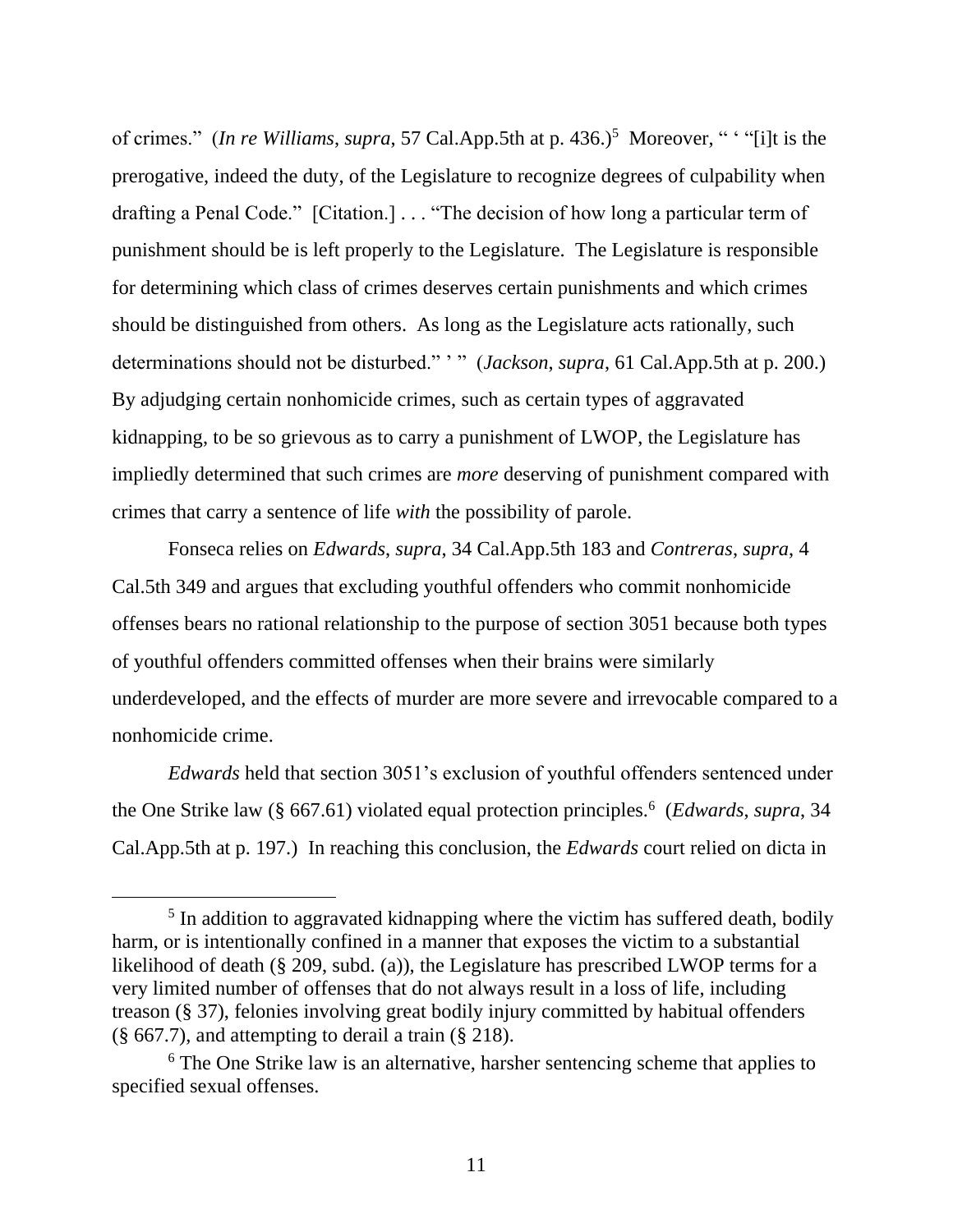of crimes." (*In re Williams, supra,* 57 Cal.App.5th at p. 436.)<sup>5</sup> Moreover, " "filt is the prerogative, indeed the duty, of the Legislature to recognize degrees of culpability when drafting a Penal Code." [Citation.] . . . "The decision of how long a particular term of punishment should be is left properly to the Legislature. The Legislature is responsible for determining which class of crimes deserves certain punishments and which crimes should be distinguished from others. As long as the Legislature acts rationally, such determinations should not be disturbed." ' " (*Jackson*, *supra*, 61 Cal.App.5th at p. 200.) By adjudging certain nonhomicide crimes, such as certain types of aggravated kidnapping, to be so grievous as to carry a punishment of LWOP, the Legislature has impliedly determined that such crimes are *more* deserving of punishment compared with crimes that carry a sentence of life *with* the possibility of parole.

Fonseca relies on *Edwards*, *supra*, 34 Cal.App.5th 183 and *Contreras*, *supra*, 4 Cal.5th 349 and argues that excluding youthful offenders who commit nonhomicide offenses bears no rational relationship to the purpose of section 3051 because both types of youthful offenders committed offenses when their brains were similarly underdeveloped, and the effects of murder are more severe and irrevocable compared to a nonhomicide crime.

*Edwards* held that section 3051's exclusion of youthful offenders sentenced under the One Strike law (§ 667.61) violated equal protection principles.<sup>6</sup> (*Edwards*, *supra*, 34 Cal.App.5th at p. 197.) In reaching this conclusion, the *Edwards* court relied on dicta in

<sup>&</sup>lt;sup>5</sup> In addition to aggravated kidnapping where the victim has suffered death, bodily harm, or is intentionally confined in a manner that exposes the victim to a substantial likelihood of death (§ 209, subd. (a)), the Legislature has prescribed LWOP terms for a very limited number of offenses that do not always result in a loss of life, including treason (§ 37), felonies involving great bodily injury committed by habitual offenders  $(\S 667.7)$ , and attempting to derail a train  $(\S 218)$ .

<sup>&</sup>lt;sup>6</sup> The One Strike law is an alternative, harsher sentencing scheme that applies to specified sexual offenses.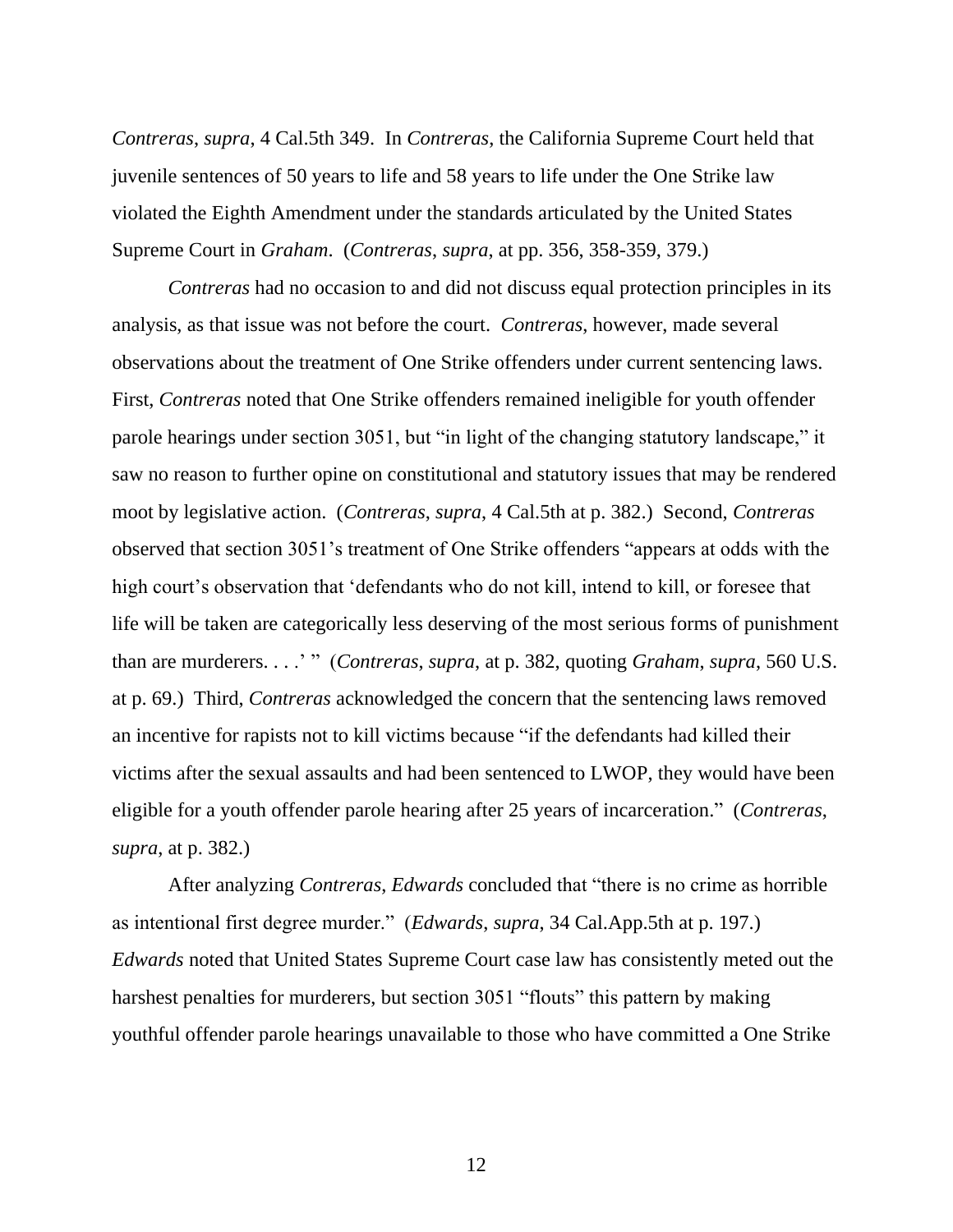*Contreras*, *supra*, 4 Cal.5th 349. In *Contreras*, the California Supreme Court held that juvenile sentences of 50 years to life and 58 years to life under the One Strike law violated the Eighth Amendment under the standards articulated by the United States Supreme Court in *Graham*. (*Contreras*, *supra*, at pp. 356, 358-359, 379.)

*Contreras* had no occasion to and did not discuss equal protection principles in its analysis, as that issue was not before the court. *Contreras*, however, made several observations about the treatment of One Strike offenders under current sentencing laws. First, *Contreras* noted that One Strike offenders remained ineligible for youth offender parole hearings under section 3051, but "in light of the changing statutory landscape," it saw no reason to further opine on constitutional and statutory issues that may be rendered moot by legislative action. (*Contreras*, *supra*, 4 Cal.5th at p. 382.) Second, *Contreras* observed that section 3051's treatment of One Strike offenders "appears at odds with the high court's observation that 'defendants who do not kill, intend to kill, or foresee that life will be taken are categorically less deserving of the most serious forms of punishment than are murderers. . . .' " (*Contreras*, *supra*, at p. 382, quoting *Graham*, *supra*, 560 U.S. at p. 69.) Third, *Contreras* acknowledged the concern that the sentencing laws removed an incentive for rapists not to kill victims because "if the defendants had killed their victims after the sexual assaults and had been sentenced to LWOP, they would have been eligible for a youth offender parole hearing after 25 years of incarceration." (*Contreras*, *supra*, at p. 382.)

After analyzing *Contreras*, *Edwards* concluded that "there is no crime as horrible as intentional first degree murder." (*Edwards*, *supra*, 34 Cal.App.5th at p. 197.) *Edwards* noted that United States Supreme Court case law has consistently meted out the harshest penalties for murderers, but section 3051 "flouts" this pattern by making youthful offender parole hearings unavailable to those who have committed a One Strike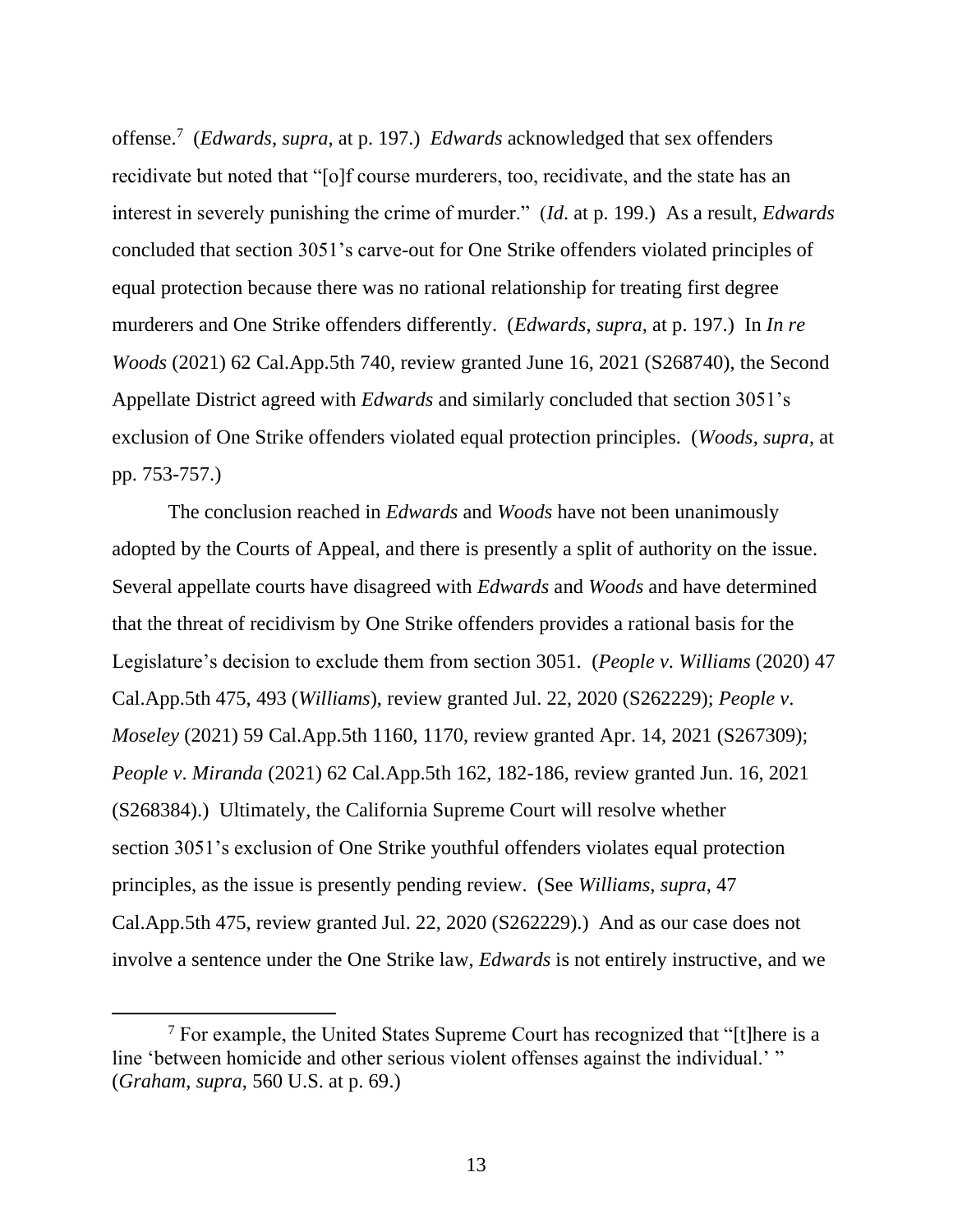offense.<sup>7</sup> (*Edwards*, *supra*, at p. 197.) *Edwards* acknowledged that sex offenders recidivate but noted that "[o]f course murderers, too, recidivate, and the state has an interest in severely punishing the crime of murder." (*Id*. at p. 199.) As a result, *Edwards* concluded that section 3051's carve-out for One Strike offenders violated principles of equal protection because there was no rational relationship for treating first degree murderers and One Strike offenders differently. (*Edwards*, *supra*, at p. 197.) In *In re Woods* (2021) 62 Cal.App.5th 740, review granted June 16, 2021 (S268740), the Second Appellate District agreed with *Edwards* and similarly concluded that section 3051's exclusion of One Strike offenders violated equal protection principles. (*Woods*, *supra*, at pp. 753-757.)

The conclusion reached in *Edwards* and *Woods* have not been unanimously adopted by the Courts of Appeal, and there is presently a split of authority on the issue. Several appellate courts have disagreed with *Edwards* and *Woods* and have determined that the threat of recidivism by One Strike offenders provides a rational basis for the Legislature's decision to exclude them from section 3051. (*People v*. *Williams* (2020) 47 Cal.App.5th 475, 493 (*Williams*), review granted Jul. 22, 2020 (S262229); *People v*. *Moseley* (2021) 59 Cal.App.5th 1160, 1170, review granted Apr. 14, 2021 (S267309); *People v*. *Miranda* (2021) 62 Cal.App.5th 162, 182-186, review granted Jun. 16, 2021 (S268384).) Ultimately, the California Supreme Court will resolve whether section 3051's exclusion of One Strike youthful offenders violates equal protection principles, as the issue is presently pending review. (See *Williams*, *supra*, 47 Cal.App.5th 475, review granted Jul. 22, 2020 (S262229).) And as our case does not involve a sentence under the One Strike law, *Edwards* is not entirely instructive, and we

 $7$  For example, the United States Supreme Court has recognized that "[t]here is a line 'between homicide and other serious violent offenses against the individual.' " (*Graham*, *supra*, 560 U.S. at p. 69.)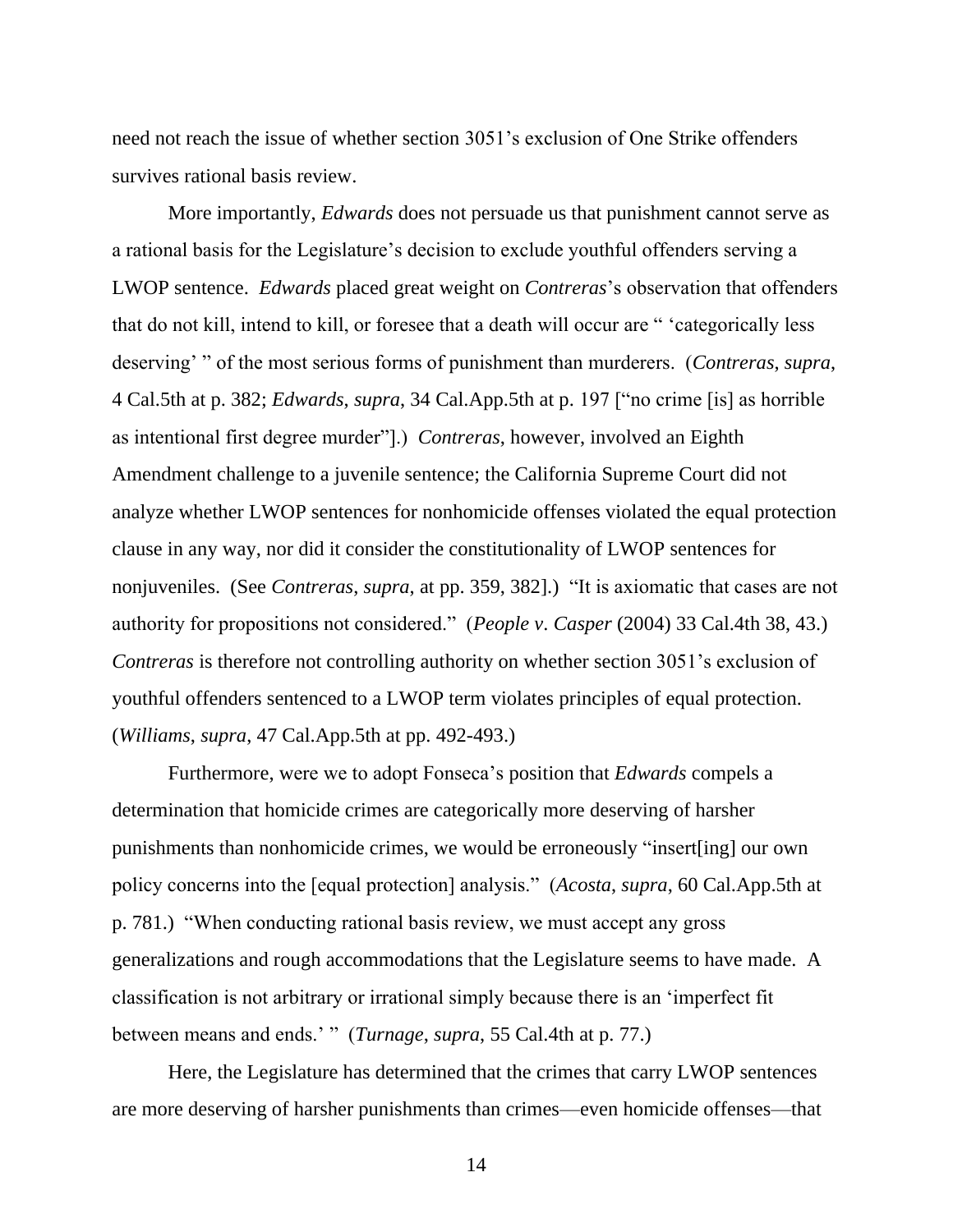need not reach the issue of whether section 3051's exclusion of One Strike offenders survives rational basis review.

More importantly, *Edwards* does not persuade us that punishment cannot serve as a rational basis for the Legislature's decision to exclude youthful offenders serving a LWOP sentence. *Edwards* placed great weight on *Contreras*'s observation that offenders that do not kill, intend to kill, or foresee that a death will occur are " 'categorically less deserving' " of the most serious forms of punishment than murderers. (*Contreras*, *supra*, 4 Cal.5th at p. 382; *Edwards*, *supra*, 34 Cal.App.5th at p. 197 ["no crime [is] as horrible as intentional first degree murder"].) *Contreras*, however, involved an Eighth Amendment challenge to a juvenile sentence; the California Supreme Court did not analyze whether LWOP sentences for nonhomicide offenses violated the equal protection clause in any way, nor did it consider the constitutionality of LWOP sentences for nonjuveniles. (See *Contreras*, *supra*, at pp. 359, 382].) "It is axiomatic that cases are not authority for propositions not considered." (*People v*. *Casper* (2004) 33 Cal.4th 38, 43.) *Contreras* is therefore not controlling authority on whether section 3051's exclusion of youthful offenders sentenced to a LWOP term violates principles of equal protection. (*Williams*, *supra*, 47 Cal.App.5th at pp. 492-493.)

Furthermore, were we to adopt Fonseca's position that *Edwards* compels a determination that homicide crimes are categorically more deserving of harsher punishments than nonhomicide crimes, we would be erroneously "insert[ing] our own policy concerns into the [equal protection] analysis." (*Acosta*, *supra*, 60 Cal.App.5th at p. 781.) "When conducting rational basis review, we must accept any gross generalizations and rough accommodations that the Legislature seems to have made. A classification is not arbitrary or irrational simply because there is an 'imperfect fit between means and ends.' " (*Turnage*, *supra*, 55 Cal.4th at p. 77.)

Here, the Legislature has determined that the crimes that carry LWOP sentences are more deserving of harsher punishments than crimes—even homicide offenses—that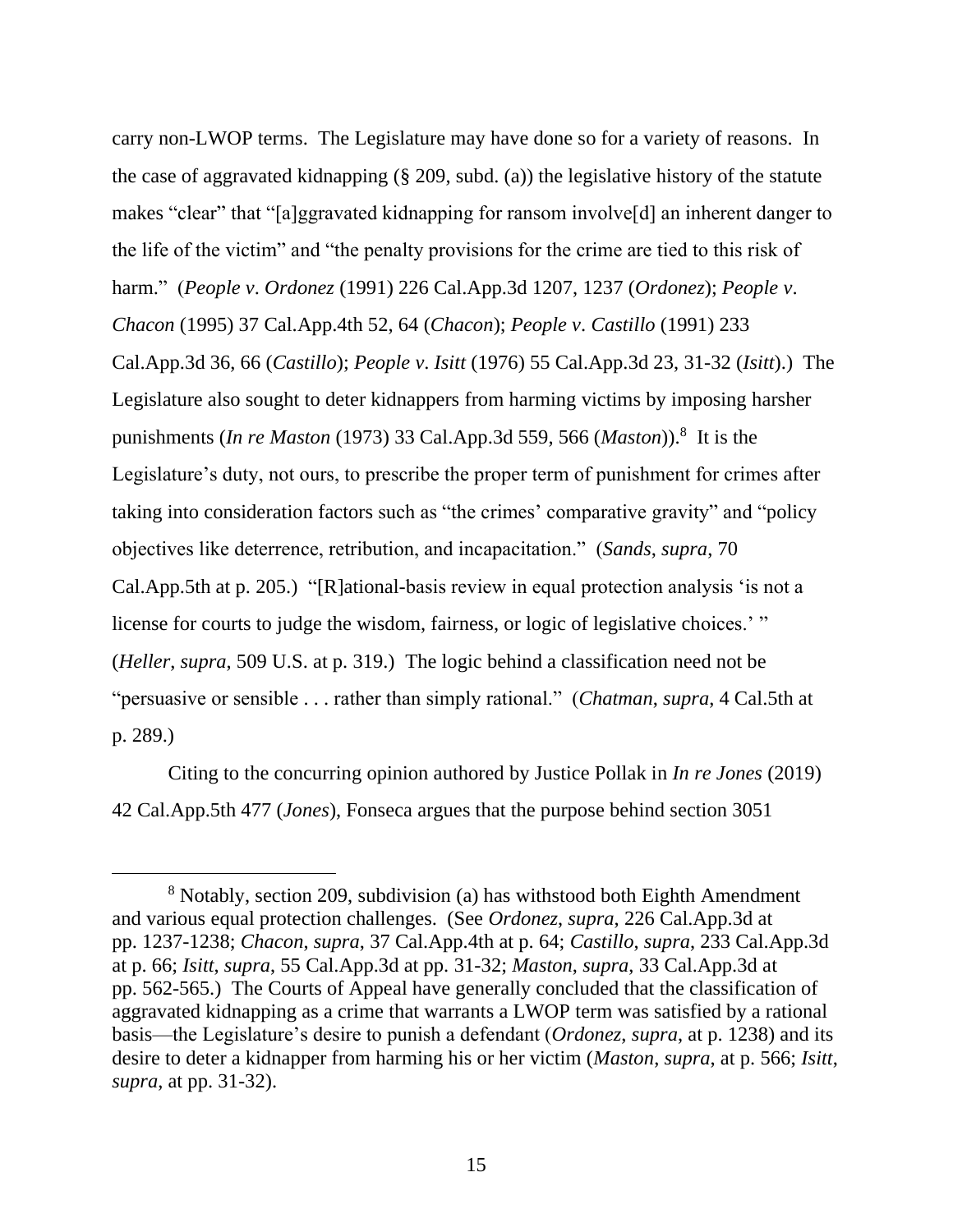carry non-LWOP terms. The Legislature may have done so for a variety of reasons. In the case of aggravated kidnapping (§ 209, subd. (a)) the legislative history of the statute makes "clear" that "[a]ggravated kidnapping for ransom involve[d] an inherent danger to the life of the victim" and "the penalty provisions for the crime are tied to this risk of harm." (*People v*. *Ordonez* (1991) 226 Cal.App.3d 1207, 1237 (*Ordonez*); *People v*. *Chacon* (1995) 37 Cal.App.4th 52, 64 (*Chacon*); *People v*. *Castillo* (1991) 233 Cal.App.3d 36, 66 (*Castillo*); *People v*. *Isitt* (1976) 55 Cal.App.3d 23, 31-32 (*Isitt*).) The Legislature also sought to deter kidnappers from harming victims by imposing harsher punishments (*In re Maston* (1973) 33 Cal.App.3d 559, 566 (*Maston*)).<sup>8</sup> It is the Legislature's duty, not ours, to prescribe the proper term of punishment for crimes after taking into consideration factors such as "the crimes' comparative gravity" and "policy objectives like deterrence, retribution, and incapacitation." (*Sands*, *supra*, 70 Cal.App.5th at p. 205.) "[R]ational-basis review in equal protection analysis 'is not a license for courts to judge the wisdom, fairness, or logic of legislative choices.' " (*Heller*, *supra*, 509 U.S. at p. 319.) The logic behind a classification need not be "persuasive or sensible . . . rather than simply rational." (*Chatman*, *supra*, 4 Cal.5th at p. 289.)

Citing to the concurring opinion authored by Justice Pollak in *In re Jones* (2019) 42 Cal.App.5th 477 (*Jones*), Fonseca argues that the purpose behind section 3051

<sup>8</sup> Notably, section 209, subdivision (a) has withstood both Eighth Amendment and various equal protection challenges. (See *Ordonez*, *supra*, 226 Cal.App.3d at pp. 1237-1238; *Chacon*, *supra*, 37 Cal.App.4th at p. 64; *Castillo*, *supra*, 233 Cal.App.3d at p. 66; *Isitt*, *supra*, 55 Cal.App.3d at pp. 31-32; *Maston*, *supra*, 33 Cal.App.3d at pp. 562-565.) The Courts of Appeal have generally concluded that the classification of aggravated kidnapping as a crime that warrants a LWOP term was satisfied by a rational basis—the Legislature's desire to punish a defendant (*Ordonez*, *supra*, at p. 1238) and its desire to deter a kidnapper from harming his or her victim (*Maston*, *supra*, at p. 566; *Isitt*, *supra*, at pp. 31-32).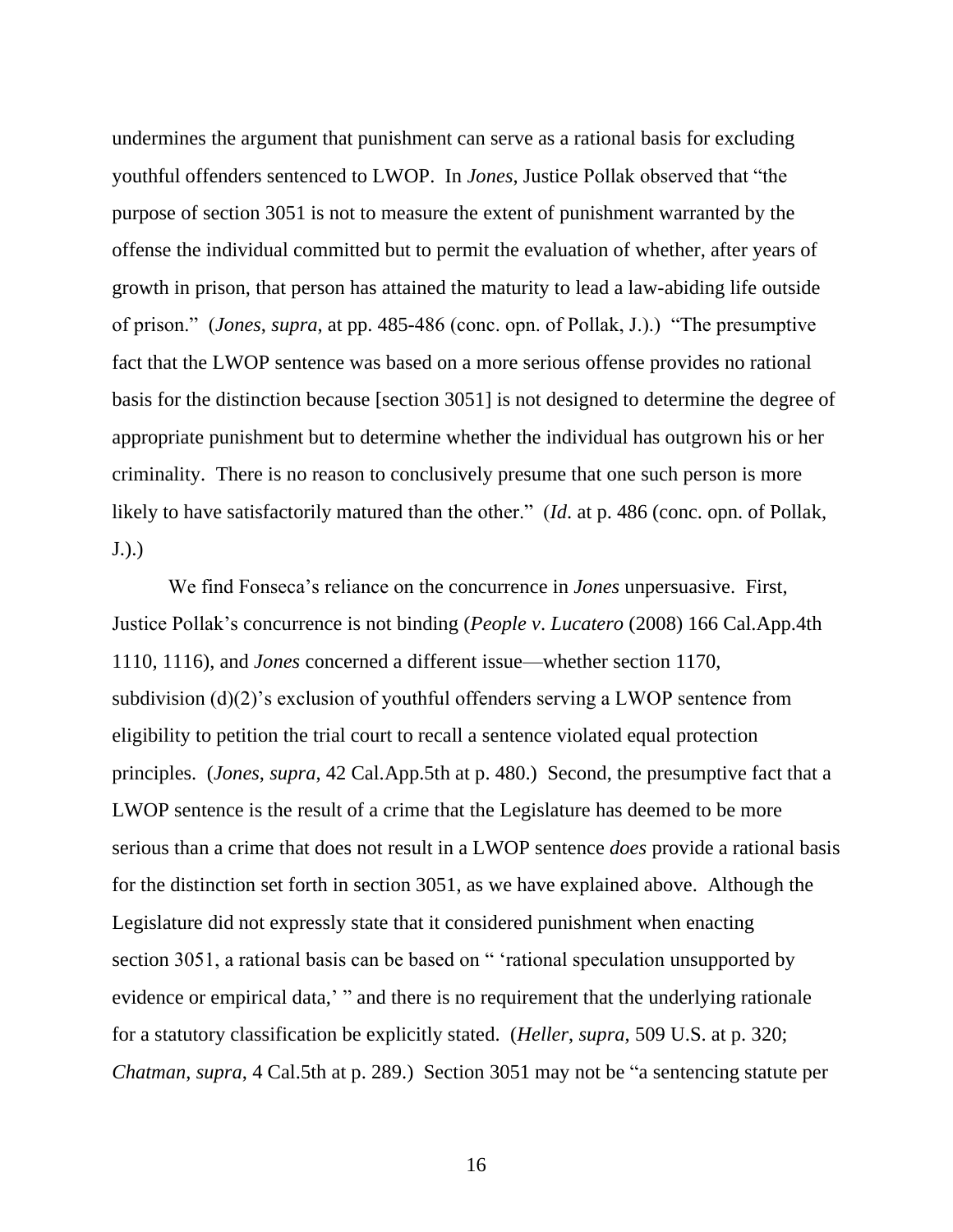undermines the argument that punishment can serve as a rational basis for excluding youthful offenders sentenced to LWOP. In *Jones*, Justice Pollak observed that "the purpose of section 3051 is not to measure the extent of punishment warranted by the offense the individual committed but to permit the evaluation of whether, after years of growth in prison, that person has attained the maturity to lead a law-abiding life outside of prison." (*Jones*, *supra*, at pp. 485-486 (conc. opn. of Pollak, J.).) "The presumptive fact that the LWOP sentence was based on a more serious offense provides no rational basis for the distinction because [section 3051] is not designed to determine the degree of appropriate punishment but to determine whether the individual has outgrown his or her criminality. There is no reason to conclusively presume that one such person is more likely to have satisfactorily matured than the other." (*Id*. at p. 486 (conc. opn. of Pollak, J.).)

We find Fonseca's reliance on the concurrence in *Jones* unpersuasive. First, Justice Pollak's concurrence is not binding (*People v*. *Lucatero* (2008) 166 Cal.App.4th 1110, 1116), and *Jones* concerned a different issue—whether section 1170, subdivision (d)(2)'s exclusion of youthful offenders serving a LWOP sentence from eligibility to petition the trial court to recall a sentence violated equal protection principles. (*Jones*, *supra*, 42 Cal.App.5th at p. 480.) Second, the presumptive fact that a LWOP sentence is the result of a crime that the Legislature has deemed to be more serious than a crime that does not result in a LWOP sentence *does* provide a rational basis for the distinction set forth in section 3051, as we have explained above. Although the Legislature did not expressly state that it considered punishment when enacting section 3051, a rational basis can be based on " 'rational speculation unsupported by evidence or empirical data,' " and there is no requirement that the underlying rationale for a statutory classification be explicitly stated. (*Heller*, *supra*, 509 U.S. at p. 320; *Chatman*, *supra*, 4 Cal.5th at p. 289.) Section 3051 may not be "a sentencing statute per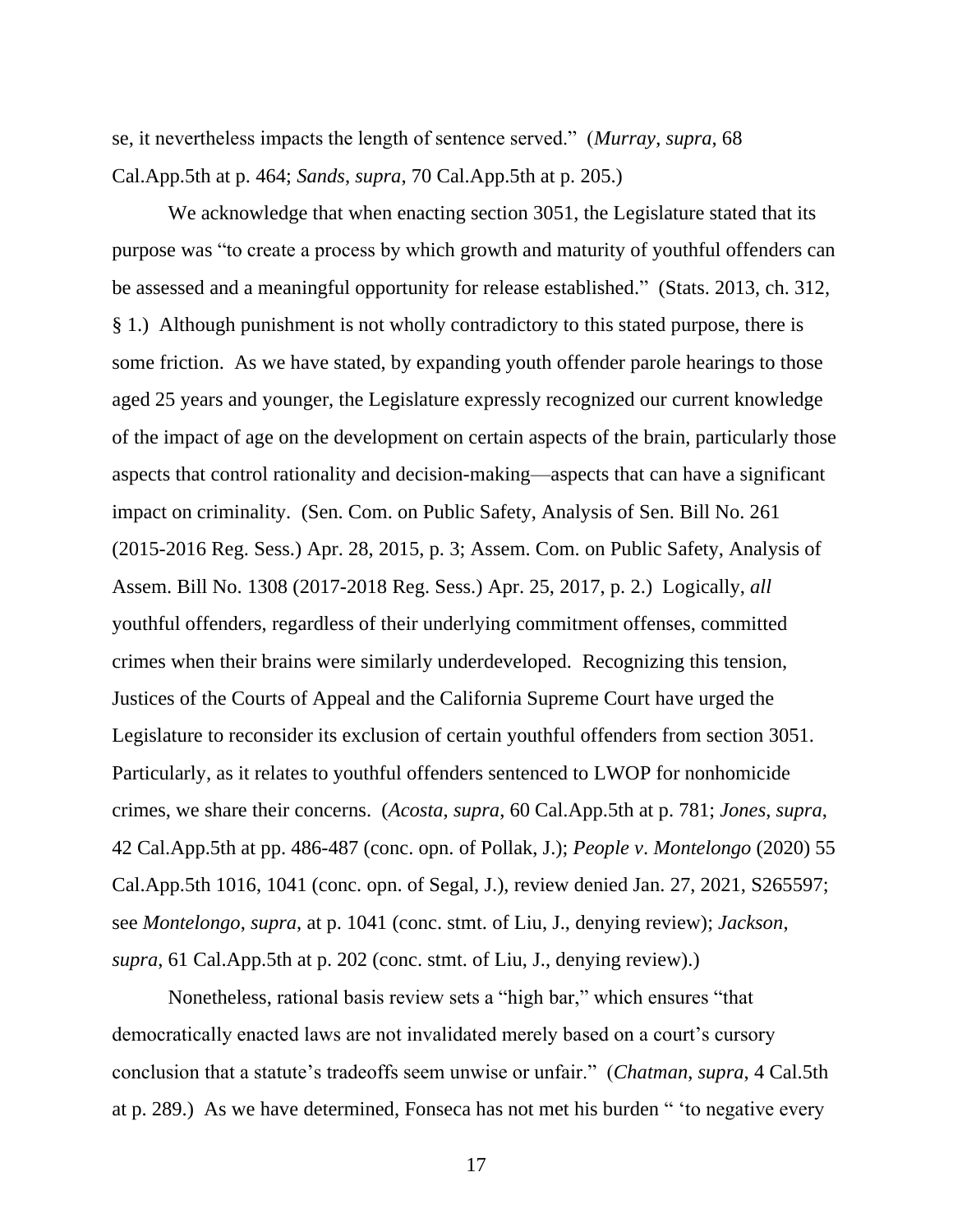se, it nevertheless impacts the length of sentence served." (*Murray*, *supra*, 68 Cal.App.5th at p. 464; *Sands*, *supra*, 70 Cal.App.5th at p. 205.)

We acknowledge that when enacting section 3051, the Legislature stated that its purpose was "to create a process by which growth and maturity of youthful offenders can be assessed and a meaningful opportunity for release established." (Stats. 2013, ch. 312, § 1.) Although punishment is not wholly contradictory to this stated purpose, there is some friction. As we have stated, by expanding youth offender parole hearings to those aged 25 years and younger, the Legislature expressly recognized our current knowledge of the impact of age on the development on certain aspects of the brain, particularly those aspects that control rationality and decision-making—aspects that can have a significant impact on criminality. (Sen. Com. on Public Safety, Analysis of Sen. Bill No. 261 (2015-2016 Reg. Sess.) Apr. 28, 2015, p. 3; Assem. Com. on Public Safety, Analysis of Assem. Bill No. 1308 (2017-2018 Reg. Sess.) Apr. 25, 2017, p. 2.) Logically, *all* youthful offenders, regardless of their underlying commitment offenses, committed crimes when their brains were similarly underdeveloped. Recognizing this tension, Justices of the Courts of Appeal and the California Supreme Court have urged the Legislature to reconsider its exclusion of certain youthful offenders from section 3051. Particularly, as it relates to youthful offenders sentenced to LWOP for nonhomicide crimes, we share their concerns. (*Acosta*, *supra*, 60 Cal.App.5th at p. 781; *Jones*, *supra*, 42 Cal.App.5th at pp. 486-487 (conc. opn. of Pollak, J.); *People v*. *Montelongo* (2020) 55 Cal.App.5th 1016, 1041 (conc. opn. of Segal, J.), review denied Jan. 27, 2021, S265597; see *Montelongo*, *supra*, at p. 1041 (conc. stmt. of Liu, J., denying review); *Jackson*, *supra*, 61 Cal.App.5th at p. 202 (conc. stmt. of Liu, J., denying review).)

Nonetheless, rational basis review sets a "high bar," which ensures "that democratically enacted laws are not invalidated merely based on a court's cursory conclusion that a statute's tradeoffs seem unwise or unfair." (*Chatman*, *supra*, 4 Cal.5th at p. 289.) As we have determined, Fonseca has not met his burden " 'to negative every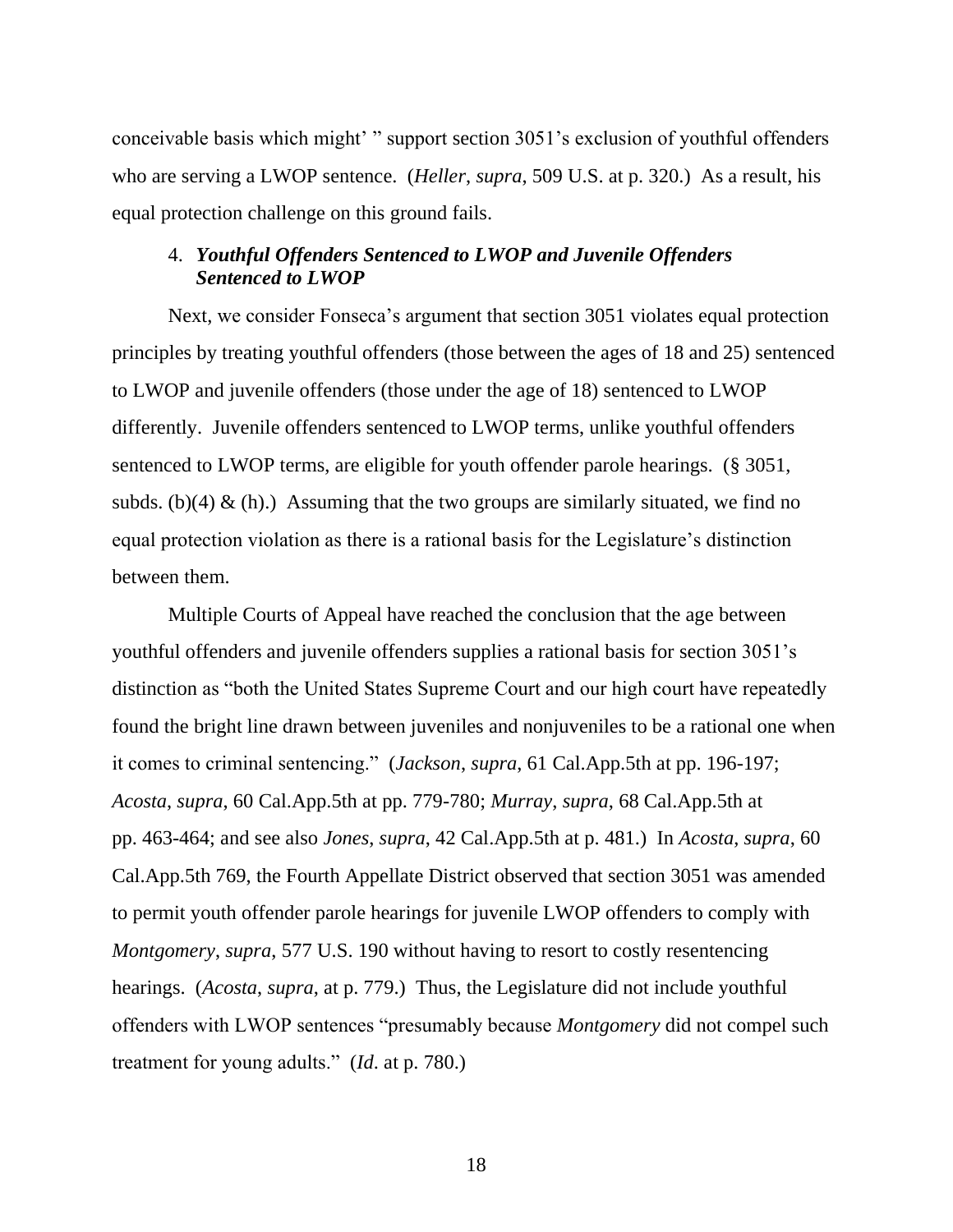conceivable basis which might' " support section 3051's exclusion of youthful offenders who are serving a LWOP sentence. (*Heller*, *supra*, 509 U.S. at p. 320.) As a result, his equal protection challenge on this ground fails.

# 4. *Youthful Offenders Sentenced to LWOP and Juvenile Offenders Sentenced to LWOP*

Next, we consider Fonseca's argument that section 3051 violates equal protection principles by treating youthful offenders (those between the ages of 18 and 25) sentenced to LWOP and juvenile offenders (those under the age of 18) sentenced to LWOP differently. Juvenile offenders sentenced to LWOP terms, unlike youthful offenders sentenced to LWOP terms, are eligible for youth offender parole hearings. (§ 3051, subds. (b)(4)  $\&$  (h).) Assuming that the two groups are similarly situated, we find no equal protection violation as there is a rational basis for the Legislature's distinction between them.

Multiple Courts of Appeal have reached the conclusion that the age between youthful offenders and juvenile offenders supplies a rational basis for section 3051's distinction as "both the United States Supreme Court and our high court have repeatedly found the bright line drawn between juveniles and nonjuveniles to be a rational one when it comes to criminal sentencing." (*Jackson*, *supra*, 61 Cal.App.5th at pp. 196-197; *Acosta*, *supra*, 60 Cal.App.5th at pp. 779-780; *Murray*, *supra*, 68 Cal.App.5th at pp. 463-464; and see also *Jones*, *supra*, 42 Cal.App.5th at p. 481.) In *Acosta*, *supra*, 60 Cal.App.5th 769, the Fourth Appellate District observed that section 3051 was amended to permit youth offender parole hearings for juvenile LWOP offenders to comply with *Montgomery*, *supra*, 577 U.S. 190 without having to resort to costly resentencing hearings. (*Acosta*, *supra*, at p. 779.) Thus, the Legislature did not include youthful offenders with LWOP sentences "presumably because *Montgomery* did not compel such treatment for young adults." (*Id*. at p. 780.)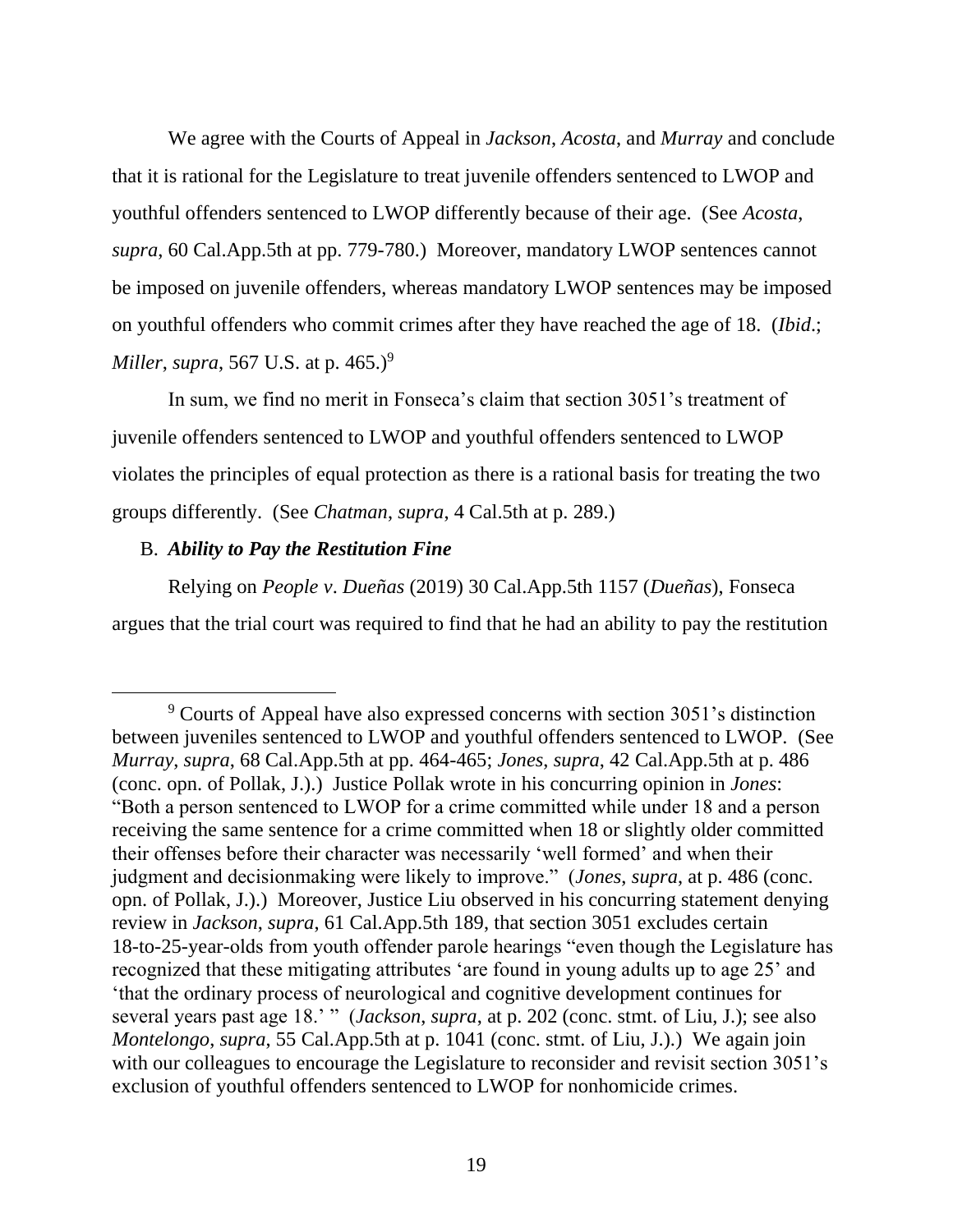We agree with the Courts of Appeal in *Jackson*, *Acosta*, and *Murray* and conclude that it is rational for the Legislature to treat juvenile offenders sentenced to LWOP and youthful offenders sentenced to LWOP differently because of their age. (See *Acosta*, *supra*, 60 Cal.App.5th at pp. 779-780.) Moreover, mandatory LWOP sentences cannot be imposed on juvenile offenders, whereas mandatory LWOP sentences may be imposed on youthful offenders who commit crimes after they have reached the age of 18. (*Ibid*.; *Miller*, *supra*, 567 U.S. at p. 465.)<sup>9</sup>

In sum, we find no merit in Fonseca's claim that section 3051's treatment of juvenile offenders sentenced to LWOP and youthful offenders sentenced to LWOP violates the principles of equal protection as there is a rational basis for treating the two groups differently. (See *Chatman*, *supra*, 4 Cal.5th at p. 289.)

## B. *Ability to Pay the Restitution Fine*

Relying on *People v*. *Dueñas* (2019) 30 Cal.App.5th 1157 (*Dueñas*), Fonseca argues that the trial court was required to find that he had an ability to pay the restitution

<sup>9</sup> Courts of Appeal have also expressed concerns with section 3051's distinction between juveniles sentenced to LWOP and youthful offenders sentenced to LWOP. (See *Murray*, *supra*, 68 Cal.App.5th at pp. 464-465; *Jones*, *supra*, 42 Cal.App.5th at p. 486 (conc. opn. of Pollak, J.).) Justice Pollak wrote in his concurring opinion in *Jones*: "Both a person sentenced to LWOP for a crime committed while under 18 and a person receiving the same sentence for a crime committed when 18 or slightly older committed their offenses before their character was necessarily 'well formed' and when their judgment and decisionmaking were likely to improve." (*Jones*, *supra*, at p. 486 (conc. opn. of Pollak, J.).) Moreover, Justice Liu observed in his concurring statement denying review in *Jackson*, *supra*, 61 Cal.App.5th 189, that section 3051 excludes certain 18-to-25-year-olds from youth offender parole hearings "even though the Legislature has recognized that these mitigating attributes 'are found in young adults up to age 25' and 'that the ordinary process of neurological and cognitive development continues for several years past age 18.' " (*Jackson*, *supra*, at p. 202 (conc. stmt. of Liu, J.); see also *Montelongo*, *supra*, 55 Cal.App.5th at p. 1041 (conc. stmt. of Liu, J.).) We again join with our colleagues to encourage the Legislature to reconsider and revisit section 3051's exclusion of youthful offenders sentenced to LWOP for nonhomicide crimes.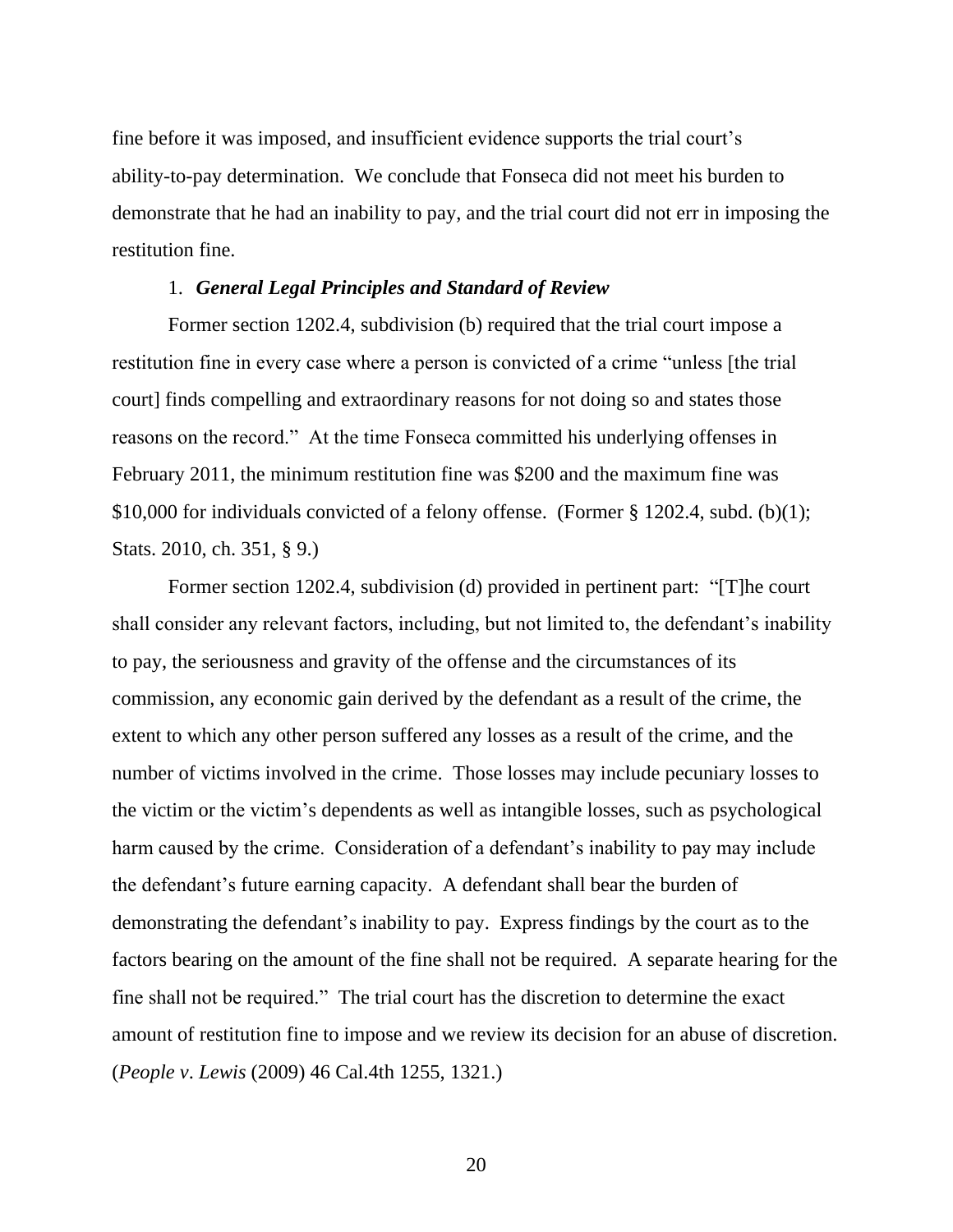fine before it was imposed, and insufficient evidence supports the trial court's ability-to-pay determination. We conclude that Fonseca did not meet his burden to demonstrate that he had an inability to pay, and the trial court did not err in imposing the restitution fine.

#### 1. *General Legal Principles and Standard of Review*

Former section 1202.4, subdivision (b) required that the trial court impose a restitution fine in every case where a person is convicted of a crime "unless [the trial court] finds compelling and extraordinary reasons for not doing so and states those reasons on the record." At the time Fonseca committed his underlying offenses in February 2011, the minimum restitution fine was \$200 and the maximum fine was \$10,000 for individuals convicted of a felony offense. (Former § 1202.4, subd. (b)(1); Stats. 2010, ch. 351, § 9.)

Former section 1202.4, subdivision (d) provided in pertinent part: "[T]he court shall consider any relevant factors, including, but not limited to, the defendant's inability to pay, the seriousness and gravity of the offense and the circumstances of its commission, any economic gain derived by the defendant as a result of the crime, the extent to which any other person suffered any losses as a result of the crime, and the number of victims involved in the crime. Those losses may include pecuniary losses to the victim or the victim's dependents as well as intangible losses, such as psychological harm caused by the crime. Consideration of a defendant's inability to pay may include the defendant's future earning capacity. A defendant shall bear the burden of demonstrating the defendant's inability to pay. Express findings by the court as to the factors bearing on the amount of the fine shall not be required. A separate hearing for the fine shall not be required." The trial court has the discretion to determine the exact amount of restitution fine to impose and we review its decision for an abuse of discretion. (*People v*. *Lewis* (2009) 46 Cal.4th 1255, 1321.)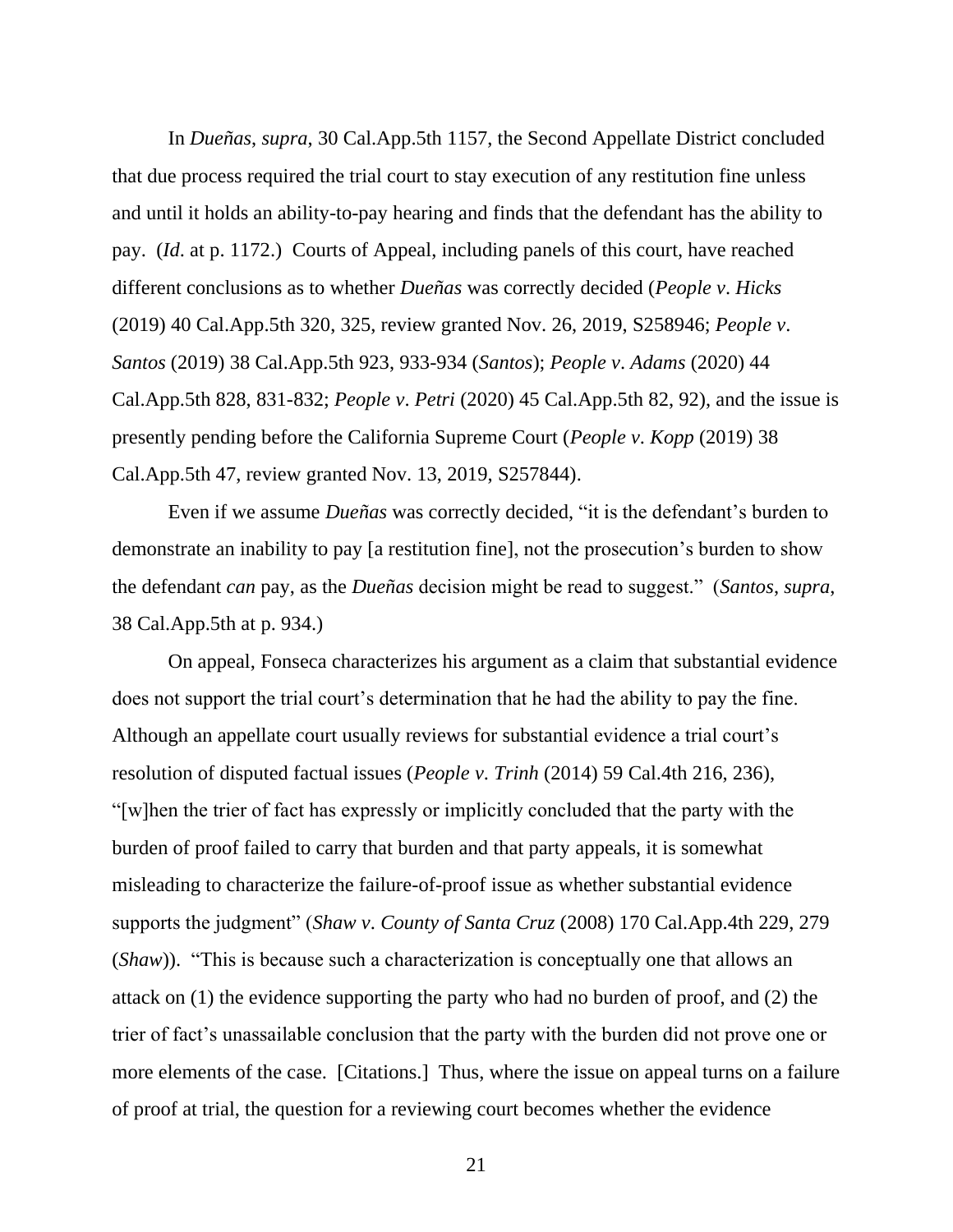In *Dueñas*, *supra*, 30 Cal.App.5th 1157, the Second Appellate District concluded that due process required the trial court to stay execution of any restitution fine unless and until it holds an ability-to-pay hearing and finds that the defendant has the ability to pay. (*Id*. at p. 1172.) Courts of Appeal, including panels of this court, have reached different conclusions as to whether *Dueñas* was correctly decided (*People v*. *Hicks*  (2019) 40 Cal.App.5th 320, 325, review granted Nov. 26, 2019, S258946; *People v*. *Santos* (2019) 38 Cal.App.5th 923, 933-934 (*Santos*); *People v*. *Adams* (2020) 44 Cal.App.5th 828, 831-832; *People v*. *Petri* (2020) 45 Cal.App.5th 82, 92), and the issue is presently pending before the California Supreme Court (*People v*. *Kopp* (2019) 38 Cal.App.5th 47, review granted Nov. 13, 2019, S257844).

Even if we assume *Dueñas* was correctly decided, "it is the defendant's burden to demonstrate an inability to pay [a restitution fine], not the prosecution's burden to show the defendant *can* pay, as the *Dueñas* decision might be read to suggest." (*Santos*, *supra*, 38 Cal.App.5th at p. 934.)

On appeal, Fonseca characterizes his argument as a claim that substantial evidence does not support the trial court's determination that he had the ability to pay the fine. Although an appellate court usually reviews for substantial evidence a trial court's resolution of disputed factual issues (*People v*. *Trinh* (2014) 59 Cal.4th 216, 236), "[w]hen the trier of fact has expressly or implicitly concluded that the party with the burden of proof failed to carry that burden and that party appeals, it is somewhat misleading to characterize the failure-of-proof issue as whether substantial evidence supports the judgment" (*Shaw v*. *County of Santa Cruz* (2008) 170 Cal.App.4th 229, 279 (*Shaw*)). "This is because such a characterization is conceptually one that allows an attack on (1) the evidence supporting the party who had no burden of proof, and (2) the trier of fact's unassailable conclusion that the party with the burden did not prove one or more elements of the case. [Citations.] Thus, where the issue on appeal turns on a failure of proof at trial, the question for a reviewing court becomes whether the evidence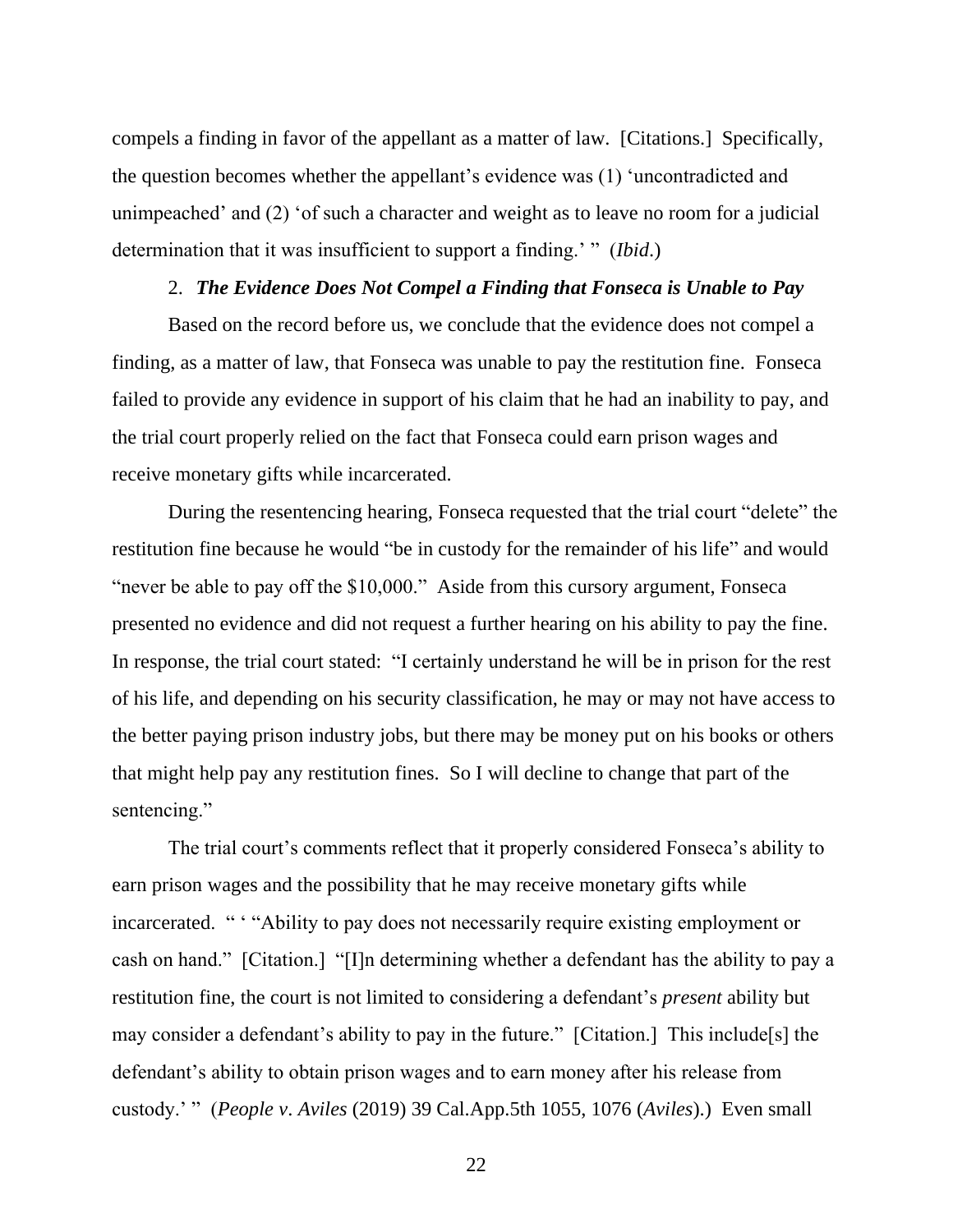compels a finding in favor of the appellant as a matter of law. [Citations.] Specifically, the question becomes whether the appellant's evidence was (1) 'uncontradicted and unimpeached' and (2) 'of such a character and weight as to leave no room for a judicial determination that it was insufficient to support a finding.' " (*Ibid*.)

#### 2. *The Evidence Does Not Compel a Finding that Fonseca is Unable to Pay*

Based on the record before us, we conclude that the evidence does not compel a finding, as a matter of law, that Fonseca was unable to pay the restitution fine. Fonseca failed to provide any evidence in support of his claim that he had an inability to pay, and the trial court properly relied on the fact that Fonseca could earn prison wages and receive monetary gifts while incarcerated.

During the resentencing hearing, Fonseca requested that the trial court "delete" the restitution fine because he would "be in custody for the remainder of his life" and would "never be able to pay off the \$10,000." Aside from this cursory argument, Fonseca presented no evidence and did not request a further hearing on his ability to pay the fine. In response, the trial court stated: "I certainly understand he will be in prison for the rest of his life, and depending on his security classification, he may or may not have access to the better paying prison industry jobs, but there may be money put on his books or others that might help pay any restitution fines. So I will decline to change that part of the sentencing."

The trial court's comments reflect that it properly considered Fonseca's ability to earn prison wages and the possibility that he may receive monetary gifts while incarcerated. " ' "Ability to pay does not necessarily require existing employment or cash on hand." [Citation.] "[I]n determining whether a defendant has the ability to pay a restitution fine, the court is not limited to considering a defendant's *present* ability but may consider a defendant's ability to pay in the future." [Citation.] This include[s] the defendant's ability to obtain prison wages and to earn money after his release from custody.' " (*People v*. *Aviles* (2019) 39 Cal.App.5th 1055, 1076 (*Aviles*).) Even small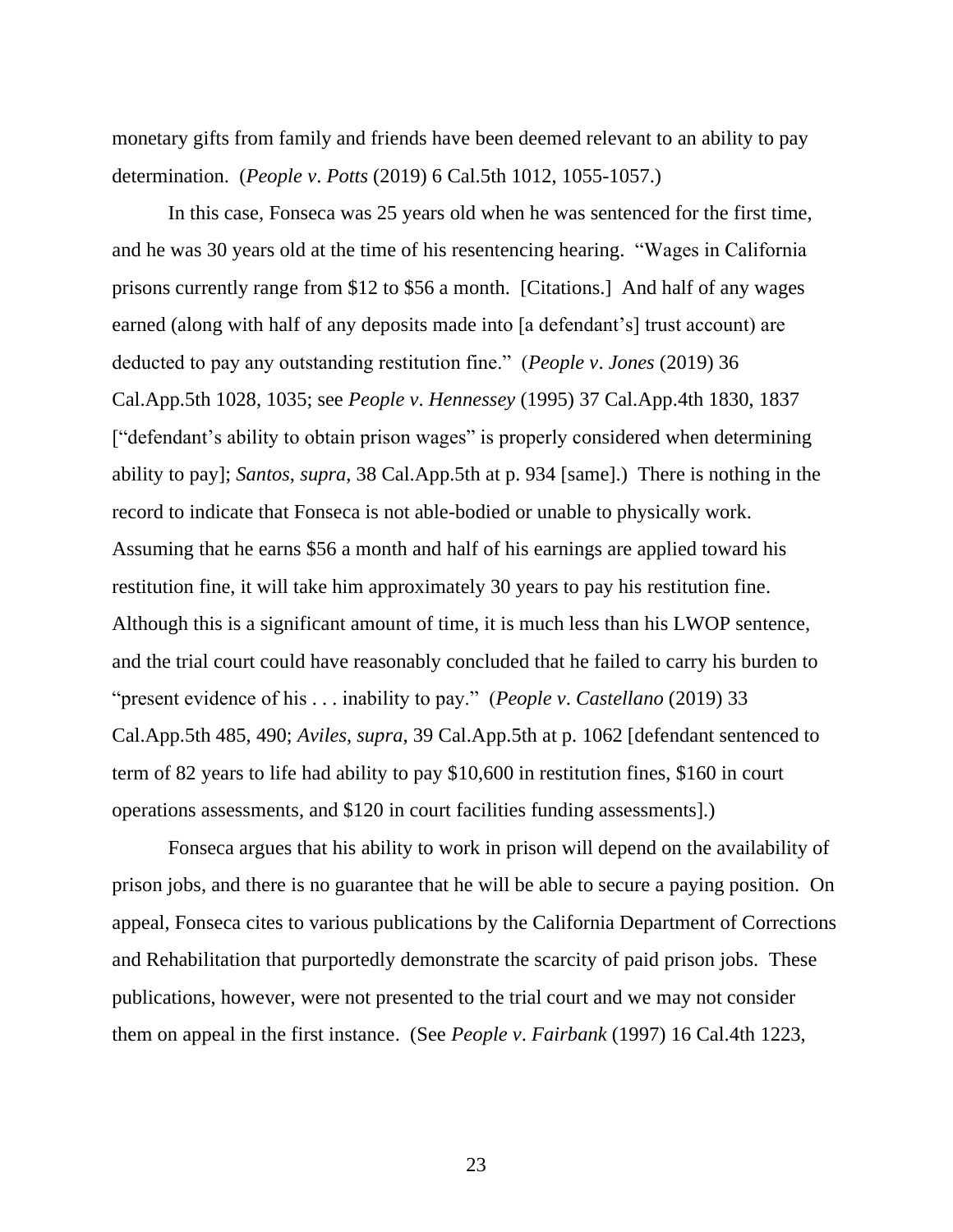monetary gifts from family and friends have been deemed relevant to an ability to pay determination. (*People v*. *Potts* (2019) 6 Cal.5th 1012, 1055-1057.)

In this case, Fonseca was 25 years old when he was sentenced for the first time, and he was 30 years old at the time of his resentencing hearing. "Wages in California prisons currently range from \$12 to \$56 a month. [Citations.] And half of any wages earned (along with half of any deposits made into [a defendant's] trust account) are deducted to pay any outstanding restitution fine." (*People v*. *Jones* (2019) 36 Cal.App.5th 1028, 1035; see *People v*. *Hennessey* (1995) 37 Cal.App.4th 1830, 1837 ["defendant's ability to obtain prison wages" is properly considered when determining ability to pay]; *Santos*, *supra*, 38 Cal.App.5th at p. 934 [same].) There is nothing in the record to indicate that Fonseca is not able-bodied or unable to physically work. Assuming that he earns \$56 a month and half of his earnings are applied toward his restitution fine, it will take him approximately 30 years to pay his restitution fine. Although this is a significant amount of time, it is much less than his LWOP sentence, and the trial court could have reasonably concluded that he failed to carry his burden to "present evidence of his . . . inability to pay." (*People v*. *Castellano* (2019) 33 Cal.App.5th 485, 490; *Aviles*, *supra*, 39 Cal.App.5th at p. 1062 [defendant sentenced to term of 82 years to life had ability to pay \$10,600 in restitution fines, \$160 in court operations assessments, and \$120 in court facilities funding assessments].)

Fonseca argues that his ability to work in prison will depend on the availability of prison jobs, and there is no guarantee that he will be able to secure a paying position. On appeal, Fonseca cites to various publications by the California Department of Corrections and Rehabilitation that purportedly demonstrate the scarcity of paid prison jobs. These publications, however, were not presented to the trial court and we may not consider them on appeal in the first instance. (See *People v*. *Fairbank* (1997) 16 Cal.4th 1223,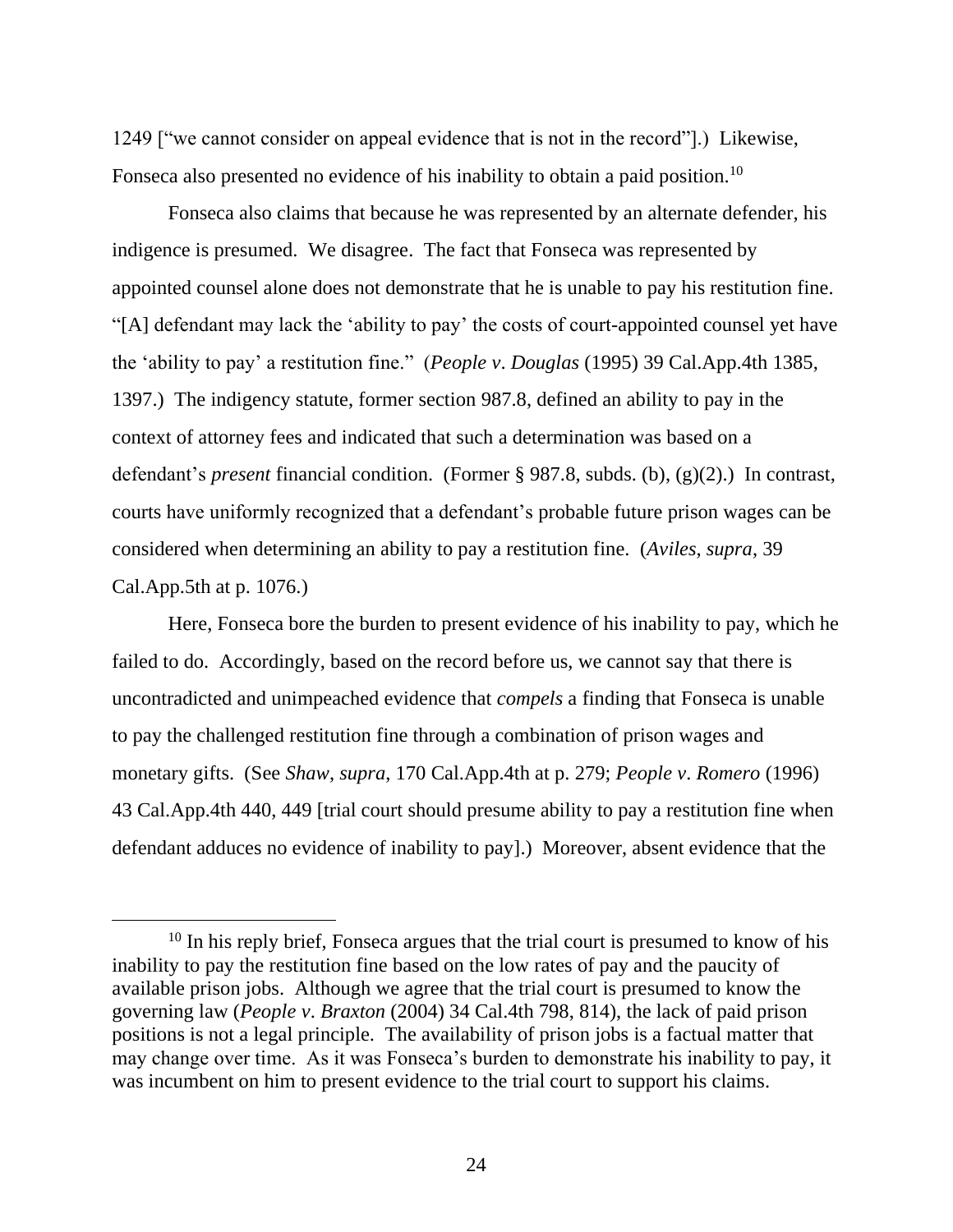1249 ["we cannot consider on appeal evidence that is not in the record"].) Likewise, Fonseca also presented no evidence of his inability to obtain a paid position.<sup>10</sup>

Fonseca also claims that because he was represented by an alternate defender, his indigence is presumed. We disagree. The fact that Fonseca was represented by appointed counsel alone does not demonstrate that he is unable to pay his restitution fine. "[A] defendant may lack the 'ability to pay' the costs of court-appointed counsel yet have the 'ability to pay' a restitution fine." (*People v*. *Douglas* (1995) 39 Cal.App.4th 1385, 1397.) The indigency statute, former section 987.8, defined an ability to pay in the context of attorney fees and indicated that such a determination was based on a defendant's *present* financial condition. (Former § 987.8, subds. (b), (g)(2).) In contrast, courts have uniformly recognized that a defendant's probable future prison wages can be considered when determining an ability to pay a restitution fine. (*Aviles*, *supra*, 39 Cal.App.5th at p. 1076.)

Here, Fonseca bore the burden to present evidence of his inability to pay, which he failed to do. Accordingly, based on the record before us, we cannot say that there is uncontradicted and unimpeached evidence that *compels* a finding that Fonseca is unable to pay the challenged restitution fine through a combination of prison wages and monetary gifts. (See *Shaw*, *supra*, 170 Cal.App.4th at p. 279; *People v*. *Romero* (1996) 43 Cal.App.4th 440, 449 [trial court should presume ability to pay a restitution fine when defendant adduces no evidence of inability to pay].) Moreover, absent evidence that the

 $10$  In his reply brief, Fonseca argues that the trial court is presumed to know of his inability to pay the restitution fine based on the low rates of pay and the paucity of available prison jobs. Although we agree that the trial court is presumed to know the governing law (*People v*. *Braxton* (2004) 34 Cal.4th 798, 814), the lack of paid prison positions is not a legal principle. The availability of prison jobs is a factual matter that may change over time. As it was Fonseca's burden to demonstrate his inability to pay, it was incumbent on him to present evidence to the trial court to support his claims.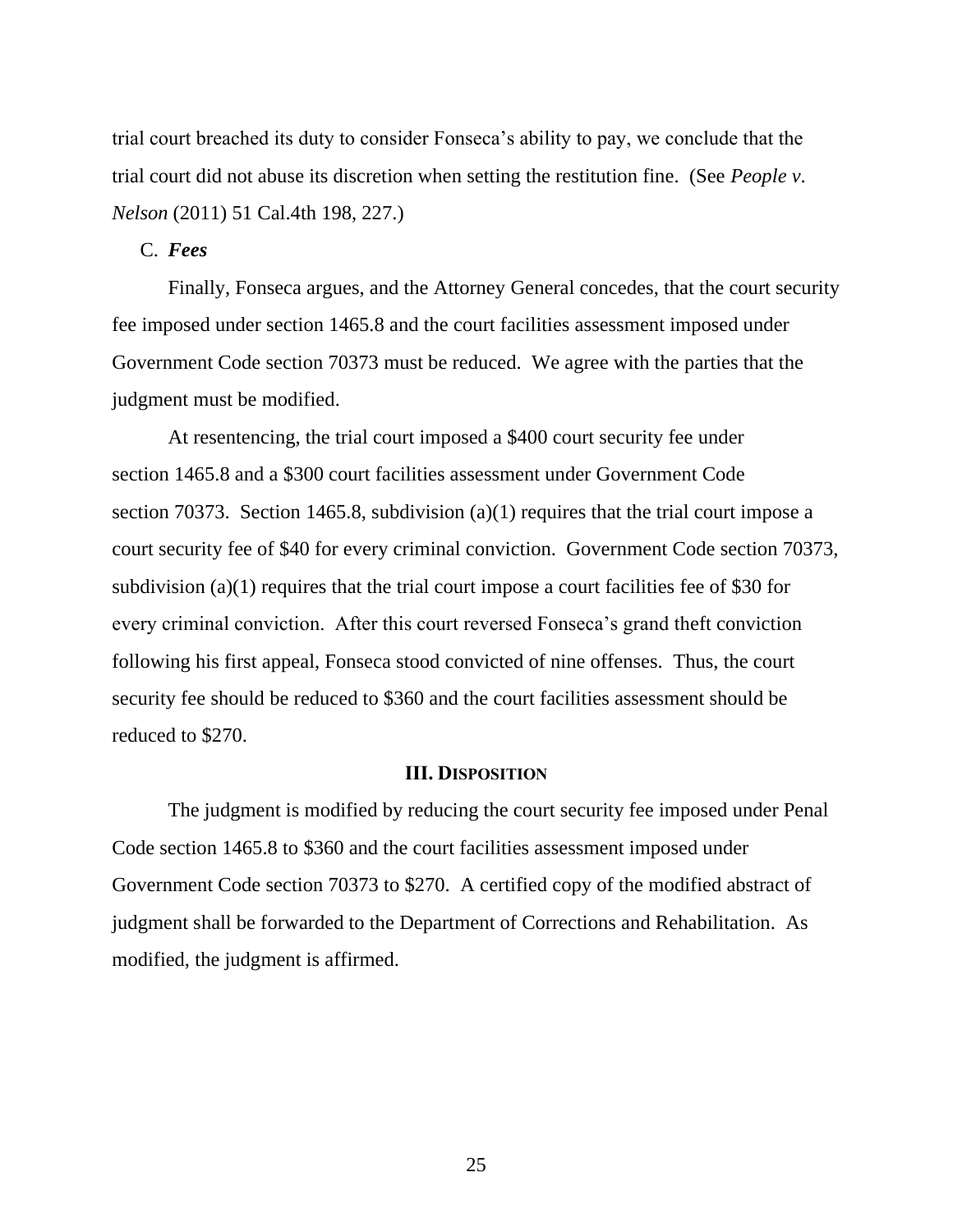trial court breached its duty to consider Fonseca's ability to pay, we conclude that the trial court did not abuse its discretion when setting the restitution fine. (See *People v*. *Nelson* (2011) 51 Cal.4th 198, 227.)

## C. *Fees*

Finally, Fonseca argues, and the Attorney General concedes, that the court security fee imposed under section 1465.8 and the court facilities assessment imposed under Government Code section 70373 must be reduced. We agree with the parties that the judgment must be modified.

At resentencing, the trial court imposed a \$400 court security fee under section 1465.8 and a \$300 court facilities assessment under Government Code section 70373. Section 1465.8, subdivision (a)(1) requires that the trial court impose a court security fee of \$40 for every criminal conviction. Government Code section 70373, subdivision (a)(1) requires that the trial court impose a court facilities fee of \$30 for every criminal conviction. After this court reversed Fonseca's grand theft conviction following his first appeal, Fonseca stood convicted of nine offenses. Thus, the court security fee should be reduced to \$360 and the court facilities assessment should be reduced to \$270.

#### **III. DISPOSITION**

The judgment is modified by reducing the court security fee imposed under Penal Code section 1465.8 to \$360 and the court facilities assessment imposed under Government Code section 70373 to \$270. A certified copy of the modified abstract of judgment shall be forwarded to the Department of Corrections and Rehabilitation. As modified, the judgment is affirmed.